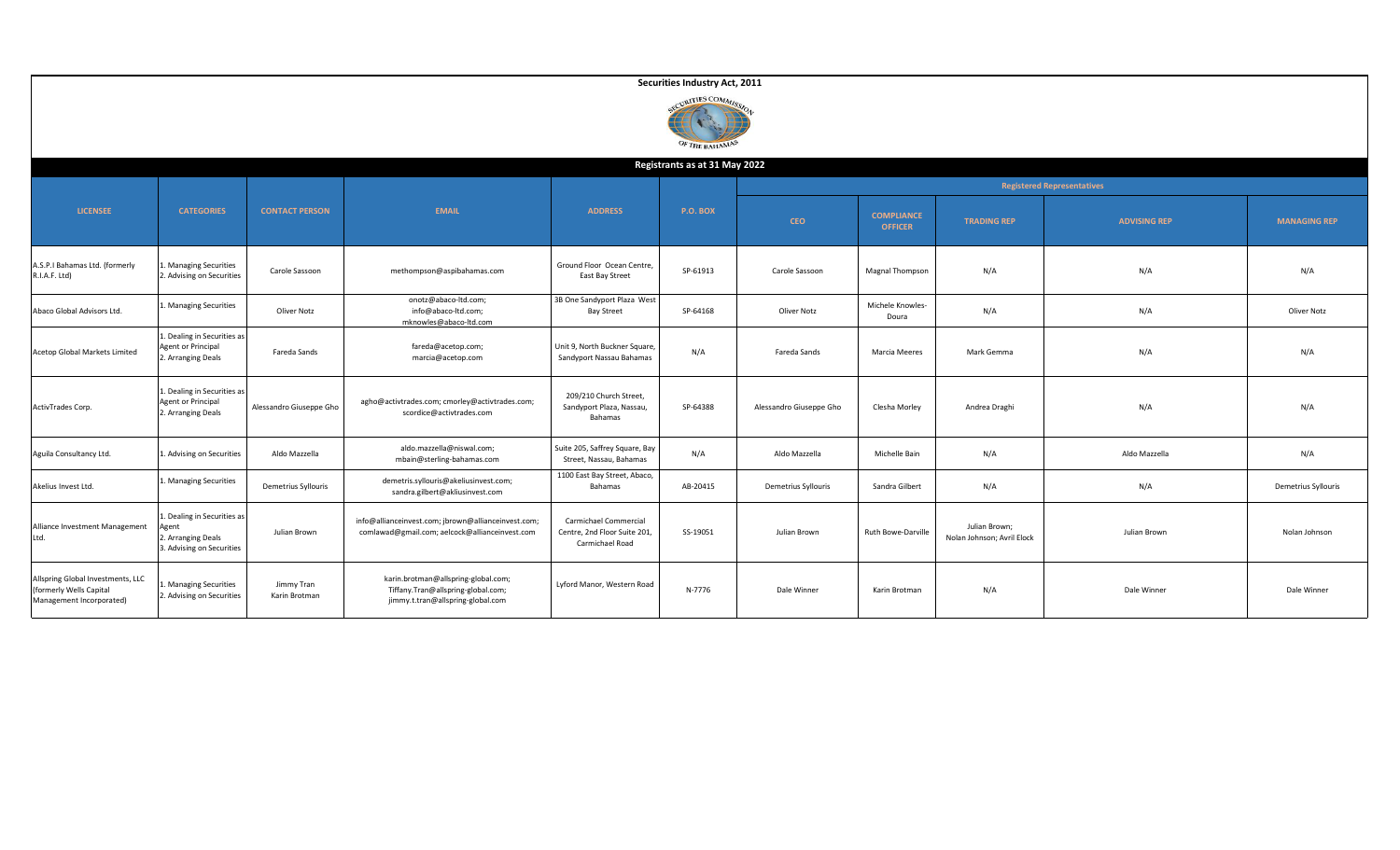|                                                                                          |                                                                                |                             |                                                                                                                |                                                                          | Securities Industry Act, 2011         |                         |                                     |                                             |                                   |                     |
|------------------------------------------------------------------------------------------|--------------------------------------------------------------------------------|-----------------------------|----------------------------------------------------------------------------------------------------------------|--------------------------------------------------------------------------|---------------------------------------|-------------------------|-------------------------------------|---------------------------------------------|-----------------------------------|---------------------|
|                                                                                          |                                                                                |                             |                                                                                                                |                                                                          | <b>RITIES COMMI</b><br>OF THE BAHAMAS |                         |                                     |                                             |                                   |                     |
|                                                                                          |                                                                                |                             |                                                                                                                |                                                                          | Registrants as at 31 May 2022         |                         |                                     |                                             |                                   |                     |
|                                                                                          |                                                                                |                             |                                                                                                                |                                                                          |                                       |                         |                                     |                                             | <b>Registered Representatives</b> |                     |
| <b>LICENSEE</b>                                                                          | <b>CATEGORIES</b>                                                              | <b>CONTACT PERSON</b>       | <b>EMAIL</b>                                                                                                   | <b>ADDRESS</b>                                                           | <b>P.O. BOX</b>                       | <b>CEO</b>              | <b>COMPLIANCE</b><br><b>OFFICER</b> | <b>TRADING REP</b>                          | <b>ADVISING REP</b>               | <b>MANAGING REP</b> |
| A.S.P.I Bahamas Ltd. (formerly<br>R.I.A.F. Ltd)                                          | . Managing Securities<br>2. Advising on Securities                             | Carole Sassoon              | methompson@aspibahamas.com                                                                                     | Ground Floor Ocean Centre,<br>East Bay Street                            | SP-61913                              | Carole Sassoon          | Magnal Thompson                     | N/A                                         | N/A                               | N/A                 |
| Abaco Global Advisors Ltd.                                                               | 1. Managing Securities                                                         | Oliver Notz                 | onotz@abaco-ltd.com;<br>info@abaco-ltd.com;<br>mknowles@abaco-ltd.com                                          | 3B One Sandyport Plaza West<br><b>Bay Street</b>                         | SP-64168                              | Oliver Notz             | Michele Knowles-<br>Doura           | N/A                                         | N/A                               | Oliver Notz         |
| Acetop Global Markets Limited                                                            | 1. Dealing in Securities as<br>Agent or Principal<br>2. Arranging Deals        | Fareda Sands                | fareda@acetop.com;<br>marcia@acetop.com                                                                        | Unit 9, North Buckner Square,<br>Sandyport Nassau Bahamas                | N/A                                   | Fareda Sands            | Marcia Meeres                       | Mark Gemma                                  | N/A                               | N/A                 |
| ActivTrades Corp.                                                                        | 1. Dealing in Securities as<br>Agent or Principal<br>2. Arranging Deals        | Alessandro Giuseppe Gho     | agho@activtrades.com; cmorley@activtrades.com;<br>scordice@activtrades.com                                     | 209/210 Church Street,<br>Sandyport Plaza, Nassau,<br>Bahamas            | SP-64388                              | Alessandro Giuseppe Gho | Clesha Morley                       | Andrea Draghi                               | N/A                               | N/A                 |
| Aguila Consultancy Ltd.                                                                  | 1. Advising on Securities                                                      | Aldo Mazzella               | aldo.mazzella@niswal.com;<br>mbain@sterling-bahamas.com                                                        | Suite 205, Saffrey Square, Bay<br>Street, Nassau, Bahamas                | N/A                                   | Aldo Mazzella           | Michelle Bain                       | N/A                                         | Aldo Mazzella                     | N/A                 |
| Akelius Invest Ltd.                                                                      | 1. Managing Securities                                                         | Demetrius Syllouris         | demetris.syllouris@akeliusinvest.com;<br>sandra.gilbert@akliusinvest.com                                       | 1100 East Bay Street, Abaco,<br>Bahamas                                  | AB-20415                              | Demetrius Syllouris     | Sandra Gilbert                      | N/A                                         | N/A                               | Demetrius Syllouris |
| Alliance Investment Management<br>Ltd.                                                   | 1. Dealing in Securities as<br>2. Arranging Deals<br>3. Advising on Securities | Julian Brown                | info@allianceinvest.com; jbrown@allianceinvest.com;<br>comlawad@gmail.com; aelcock@allianceinvest.com          | Carmichael Commercial<br>Centre, 2nd Floor Suite 201,<br>Carmichael Road | SS-19051                              | Julian Brown            | Ruth Bowe-Darville                  | Julian Brown;<br>Nolan Johnson; Avril Elock | Julian Brown                      | Nolan Johnson       |
| Allspring Global Investments, LLC<br>(formerly Wells Capital<br>Management Incorporated) | . Managing Securities<br>2. Advising on Securities                             | Jimmy Tran<br>Karin Brotman | karin.brotman@allspring-global.com;<br>Tiffany.Tran@allspring-global.com;<br>jimmy.t.tran@allspring-global.com | Lyford Manor, Western Road                                               | N-7776                                | Dale Winner             | Karin Brotman                       | N/A                                         | Dale Winner                       | Dale Winner         |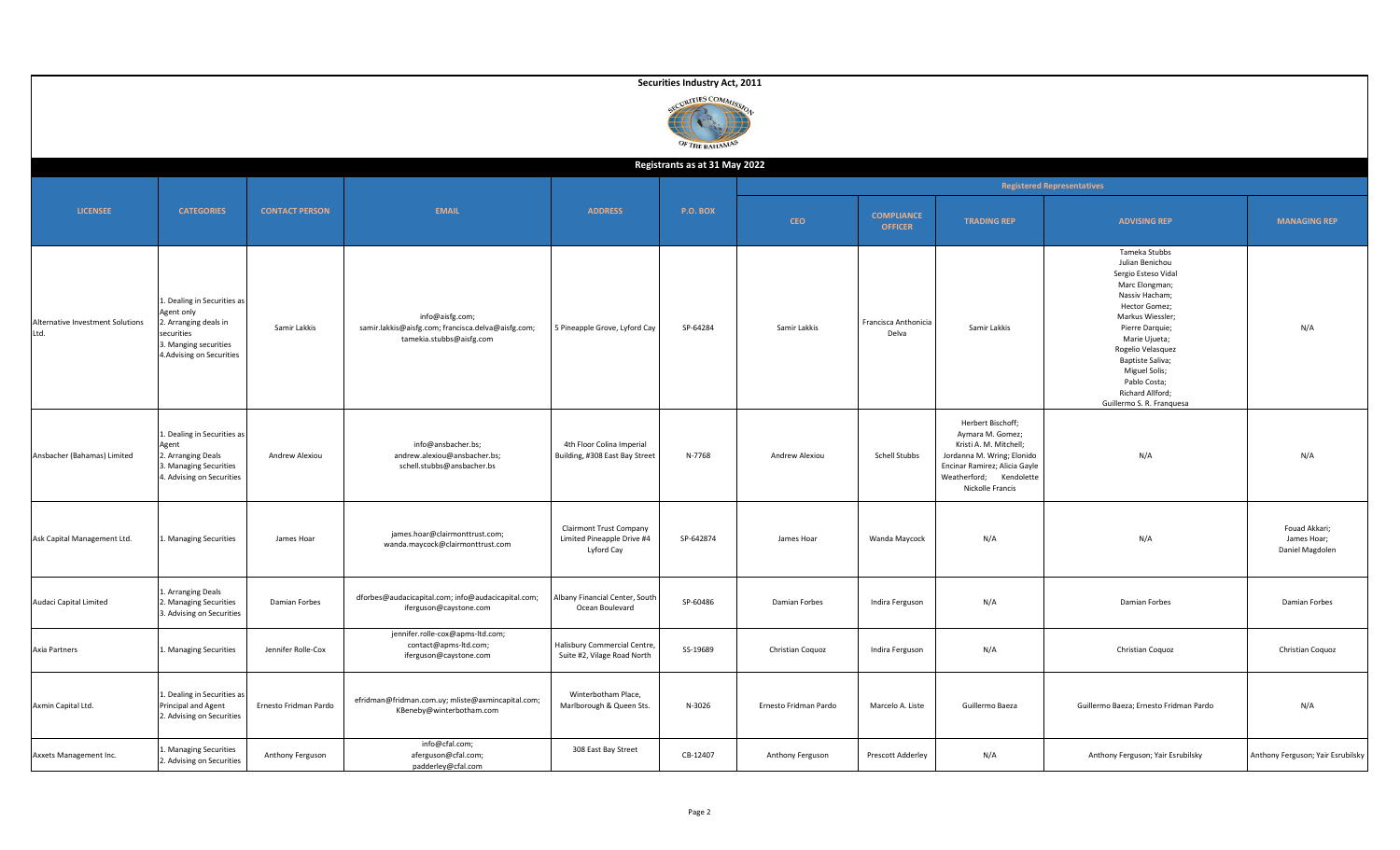|                                          |                                                                                                                                     |                       |                                                                                                   |                                                                            | Securities Industry Act, 2011      |                       |                                     |                                                                                                                                                                               |                                                                                                                                                                                                                                                                                                 |                                                 |
|------------------------------------------|-------------------------------------------------------------------------------------------------------------------------------------|-----------------------|---------------------------------------------------------------------------------------------------|----------------------------------------------------------------------------|------------------------------------|-----------------------|-------------------------------------|-------------------------------------------------------------------------------------------------------------------------------------------------------------------------------|-------------------------------------------------------------------------------------------------------------------------------------------------------------------------------------------------------------------------------------------------------------------------------------------------|-------------------------------------------------|
|                                          |                                                                                                                                     |                       |                                                                                                   |                                                                            | CURITIES COMMISS<br>OF THE BAHAMAS |                       |                                     |                                                                                                                                                                               |                                                                                                                                                                                                                                                                                                 |                                                 |
|                                          |                                                                                                                                     |                       |                                                                                                   |                                                                            | Registrants as at 31 May 2022      |                       |                                     |                                                                                                                                                                               |                                                                                                                                                                                                                                                                                                 |                                                 |
|                                          |                                                                                                                                     |                       |                                                                                                   |                                                                            |                                    |                       |                                     |                                                                                                                                                                               | <b>Registered Representatives</b>                                                                                                                                                                                                                                                               |                                                 |
| <b>LICENSEE</b>                          | <b>CATEGORIES</b>                                                                                                                   | <b>CONTACT PERSON</b> | <b>EMAIL</b>                                                                                      | <b>ADDRESS</b>                                                             | <b>P.O. BOX</b>                    | <b>CEO</b>            | <b>COMPLIANCE</b><br><b>OFFICER</b> | <b>TRADING REP</b>                                                                                                                                                            | <b>ADVISING REP</b>                                                                                                                                                                                                                                                                             | <b>MANAGING REP</b>                             |
| Alternative Investment Solutions<br>Ltd. | Dealing in Securities as<br>Agent only<br>2. Arranging deals in<br>securities<br>3. Manging securities<br>4. Advising on Securities | Samir Lakkis          | info@aisfg.com;<br>samir.lakkis@aisfg.com; francisca.delva@aisfg.com;<br>tamekia.stubbs@aisfg.com | 5 Pineapple Grove, Lyford Cay                                              | SP-64284                           | Samir Lakkis          | Francisca Anthonicia<br>Delva       | Samir Lakkis                                                                                                                                                                  | Tameka Stubbs<br>Julian Benichou<br>Sergio Esteso Vidal<br>Marc Elongman;<br>Nassiv Hacham;<br>Hector Gomez;<br>Markus Wiessler;<br>Pierre Darquie;<br>Marie Ujueta;<br>Rogelio Velasquez<br>Baptiste Saliva;<br>Miguel Solis;<br>Pablo Costa;<br>Richard Allford;<br>Guillermo S. R. Franquesa | N/A                                             |
| Ansbacher (Bahamas) Limited              | 1. Dealing in Securities as<br>Agent<br>2. Arranging Deals<br>3. Managing Securities<br>4. Advising on Securities                   | Andrew Alexiou        | info@ansbacher.bs;<br>andrew.alexiou@ansbacher.bs;<br>schell.stubbs@ansbacher.bs                  | 4th Floor Colina Imperial<br>Building, #308 East Bay Street                | N-7768                             | Andrew Alexiou        | Schell Stubbs                       | Herbert Bischoff;<br>Aymara M. Gomez;<br>Kristi A. M. Mitchell;<br>Jordanna M. Wring; Elonido<br>Encinar Ramirez; Alicia Gayle<br>Weatherford; Kendolette<br>Nickolle Francis | N/A                                                                                                                                                                                                                                                                                             | N/A                                             |
| Ask Capital Management Ltd.              | Managing Securities                                                                                                                 | James Hoar            | james.hoar@clairmonttrust.com;<br>wanda.maycock@clairmonttrust.com                                | <b>Clairmont Trust Company</b><br>Limited Pineapple Drive #4<br>Lyford Cay | SP-642874                          | James Hoar            | Wanda Maycock                       | N/A                                                                                                                                                                           | N/A                                                                                                                                                                                                                                                                                             | Fouad Akkari;<br>James Hoar;<br>Daniel Magdolen |
| Audaci Capital Limited                   | Arranging Deals<br>. Managing Securities<br>3. Advising on Securities                                                               | Damian Forbes         | dforbes@audacicapital.com; info@audacicapital.com;<br>iferguson@caystone.com                      | Albany Financial Center, South<br>Ocean Boulevard                          | SP-60486                           | Damian Forbes         | Indira Ferguson                     | N/A                                                                                                                                                                           | Damian Forbes                                                                                                                                                                                                                                                                                   | Damian Forbes                                   |
| Axia Partners                            | L. Managing Securities                                                                                                              | Jennifer Rolle-Cox    | jennifer.rolle-cox@apms-ltd.com;<br>contact@apms-ltd.com;<br>iferguson@caystone.com               | Halisbury Commercial Centre,<br>Suite #2, Vilage Road North                | SS-19689                           | Christian Coquoz      | Indira Ferguson                     | N/A                                                                                                                                                                           | Christian Coquoz                                                                                                                                                                                                                                                                                | Christian Coquoz                                |
| Axmin Capital Ltd.                       | 1. Dealing in Securities as<br>Principal and Agent<br>2. Advising on Securities                                                     | Ernesto Fridman Pardo | efridman@fridman.com.uy; mliste@axmincapital.com;<br>KBeneby@winterbotham.com                     | Winterbotham Place,<br>Marlborough & Queen Sts.                            | N-3026                             | Ernesto Fridman Pardo | Marcelo A. Liste                    | Guillermo Baeza                                                                                                                                                               | Guillermo Baeza; Ernesto Fridman Pardo                                                                                                                                                                                                                                                          | N/A                                             |
| Axxets Management Inc.                   | 1. Managing Securities<br>2. Advising on Securities                                                                                 | Anthony Ferguson      | info@cfal.com;<br>aferguson@cfal.com;<br>padderley@cfal.com                                       | 308 East Bay Street                                                        | CB-12407                           | Anthony Ferguson      | Prescott Adderley                   | N/A                                                                                                                                                                           | Anthony Ferguson; Yair Esrubilsky                                                                                                                                                                                                                                                               | Anthony Ferguson; Yair Esrubilsky               |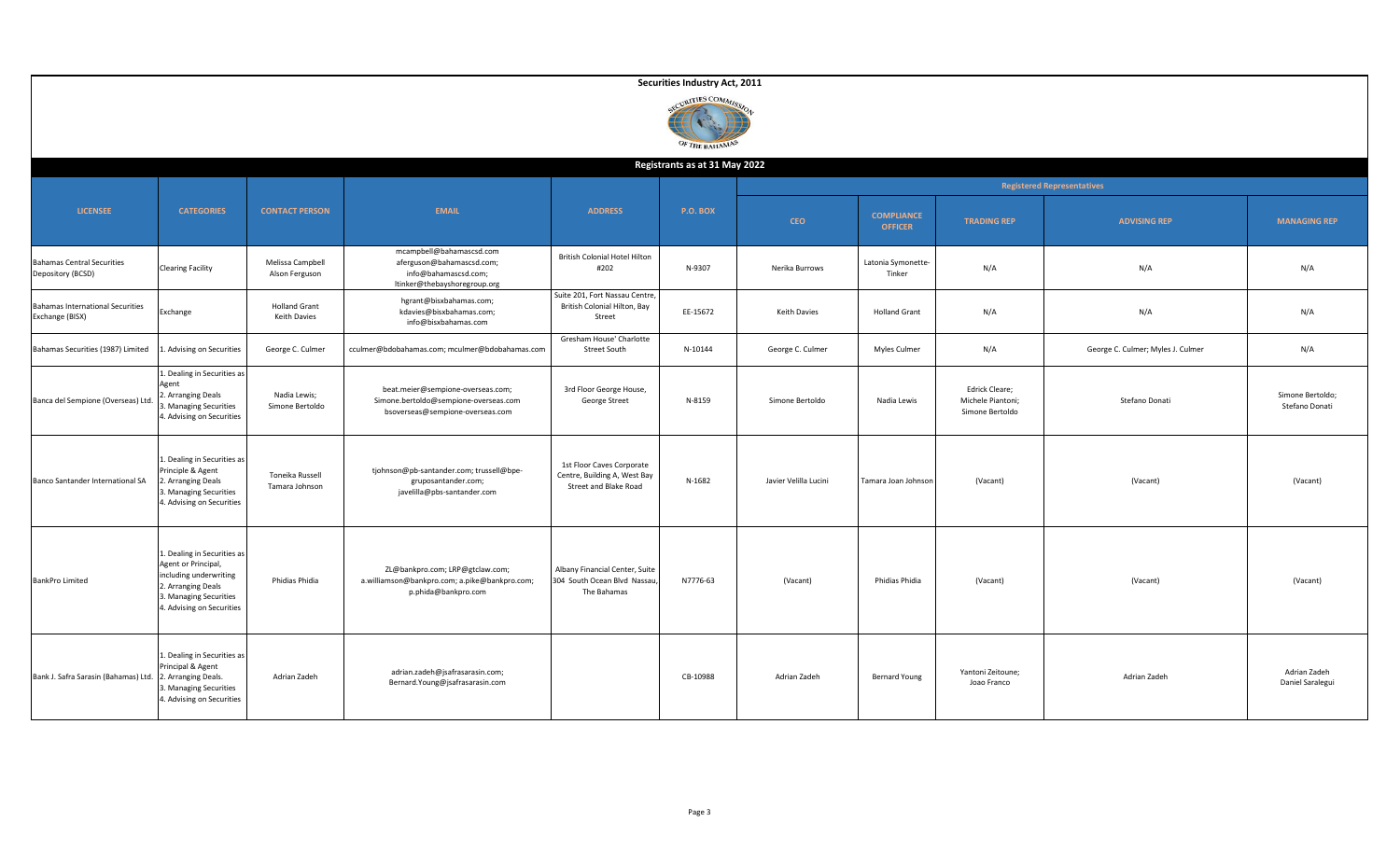|                                                            |                                                                                                                                                           |                                      |                                                                                                                |                                                                                    | Securities Industry Act, 2011   |                       |                                     |                                                        |                                   |                                    |
|------------------------------------------------------------|-----------------------------------------------------------------------------------------------------------------------------------------------------------|--------------------------------------|----------------------------------------------------------------------------------------------------------------|------------------------------------------------------------------------------------|---------------------------------|-----------------------|-------------------------------------|--------------------------------------------------------|-----------------------------------|------------------------------------|
|                                                            |                                                                                                                                                           |                                      |                                                                                                                |                                                                                    | URITIES COMMI<br>OF THE BAHAMAS |                       |                                     |                                                        |                                   |                                    |
|                                                            |                                                                                                                                                           |                                      |                                                                                                                |                                                                                    | Registrants as at 31 May 2022   |                       |                                     |                                                        |                                   |                                    |
|                                                            |                                                                                                                                                           |                                      |                                                                                                                |                                                                                    |                                 |                       |                                     |                                                        | <b>Registered Representatives</b> |                                    |
| <b>LICENSEE</b>                                            | <b>CATEGORIES</b>                                                                                                                                         | <b>CONTACT PERSON</b>                | <b>EMAIL</b>                                                                                                   | <b>ADDRESS</b>                                                                     | P.O. BOX                        | <b>CEO</b>            | <b>COMPLIANCE</b><br><b>OFFICER</b> | <b>TRADING REP</b>                                     | <b>ADVISING REP</b>               | <b>MANAGING REP</b>                |
| <b>Bahamas Central Securities</b><br>Depository (BCSD)     | <b>Clearing Facility</b>                                                                                                                                  | Melissa Campbell<br>Alson Ferguson   | mcampbell@bahamascsd.com<br>aferguson@bahamascsd.com;<br>info@bahamascsd.com;<br>ltinker@thebayshoregroup.org  | <b>British Colonial Hotel Hilton</b><br>#202                                       | N-9307                          | Nerika Burrows        | Latonia Symonette-<br>Tinker        | N/A                                                    | N/A                               | N/A                                |
| <b>Bahamas International Securities</b><br>Exchange (BISX) | Exchange                                                                                                                                                  | <b>Holland Grant</b><br>Keith Davies | hgrant@bisxbahamas.com;<br>kdavies@bisxbahamas.com;<br>info@bisxbahamas.com                                    | Suite 201, Fort Nassau Centre<br>British Colonial Hilton, Bay<br>Street            | EE-15672                        | Keith Davies          | <b>Holland Grant</b>                | N/A                                                    | N/A                               | N/A                                |
| Bahamas Securities (1987) Limited                          | Advising on Securities                                                                                                                                    | George C. Culmer                     | cculmer@bdobahamas.com; mculmer@bdobahamas.com                                                                 | Gresham House' Charlotte<br>Street South                                           | N-10144                         | George C. Culmer      | Myles Culmer                        | N/A                                                    | George C. Culmer; Myles J. Culmer | N/A                                |
| Banca del Sempione (Overseas) Ltd.                         | 1. Dealing in Securities as<br>Agent<br>2. Arranging Deals<br>. Managing Securities<br>4. Advising on Securities                                          | Nadia Lewis;<br>Simone Bertoldo      | beat.meier@sempione-overseas.com;<br>Simone.bertoldo@sempione-overseas.com<br>bsoverseas@sempione-overseas.com | 3rd Floor George House,<br>George Street                                           | N-8159                          | Simone Bertoldo       | Nadia Lewis                         | Edrick Cleare;<br>Michele Piantoni;<br>Simone Bertoldo | Stefano Donati                    | Simone Bertoldo;<br>Stefano Donati |
| Banco Santander International SA                           | 1. Dealing in Securities as<br>Principle & Agent<br>. Arranging Deals<br>3. Managing Securities<br>4. Advising on Securities                              | Toneika Russell<br>Tamara Johnson    | tjohnson@pb-santander.com; trussell@bpe-<br>gruposantander.com;<br>javelilla@pbs-santander.com                 | 1st Floor Caves Corporate<br>Centre, Building A, West Bay<br>Street and Blake Road | N-1682                          | Javier Velilla Lucini | Tamara Joan Johnson                 | (Vacant)                                               | (Vacant)                          | (Vacant)                           |
| <b>BankPro Limited</b>                                     | 1. Dealing in Securities as<br>Agent or Principal,<br>including underwriting<br>2. Arranging Deals<br>3. Managing Securities<br>4. Advising on Securities | Phidias Phidia                       | ZL@bankpro.com; LRP@gtclaw.com;<br>a.williamson@bankpro.com; a.pike@bankpro.com;<br>p.phida@bankpro.com        | Albany Financial Center, Suite<br>304 South Ocean Blvd Nassau<br>The Bahamas       | N7776-63                        | (Vacant)              | Phidias Phidia                      | (Vacant)                                               | (Vacant)                          | (Vacant)                           |
| Bank J. Safra Sarasin (Bahamas) Ltd.                       | 1. Dealing in Securities as<br>Principal & Agent<br>2. Arranging Deals.<br>3. Managing Securities<br>4. Advising on Securities                            | Adrian Zadeh                         | adrian.zadeh@jsafrasarasin.com;<br>Bernard.Young@jsafrasarasin.com                                             |                                                                                    | CB-10988                        | Adrian Zadeh          | <b>Bernard Young</b>                | Yantoni Zeitoune;<br>Joao Franco                       | Adrian Zadeh                      | Adrian Zadeh<br>Daniel Saralegui   |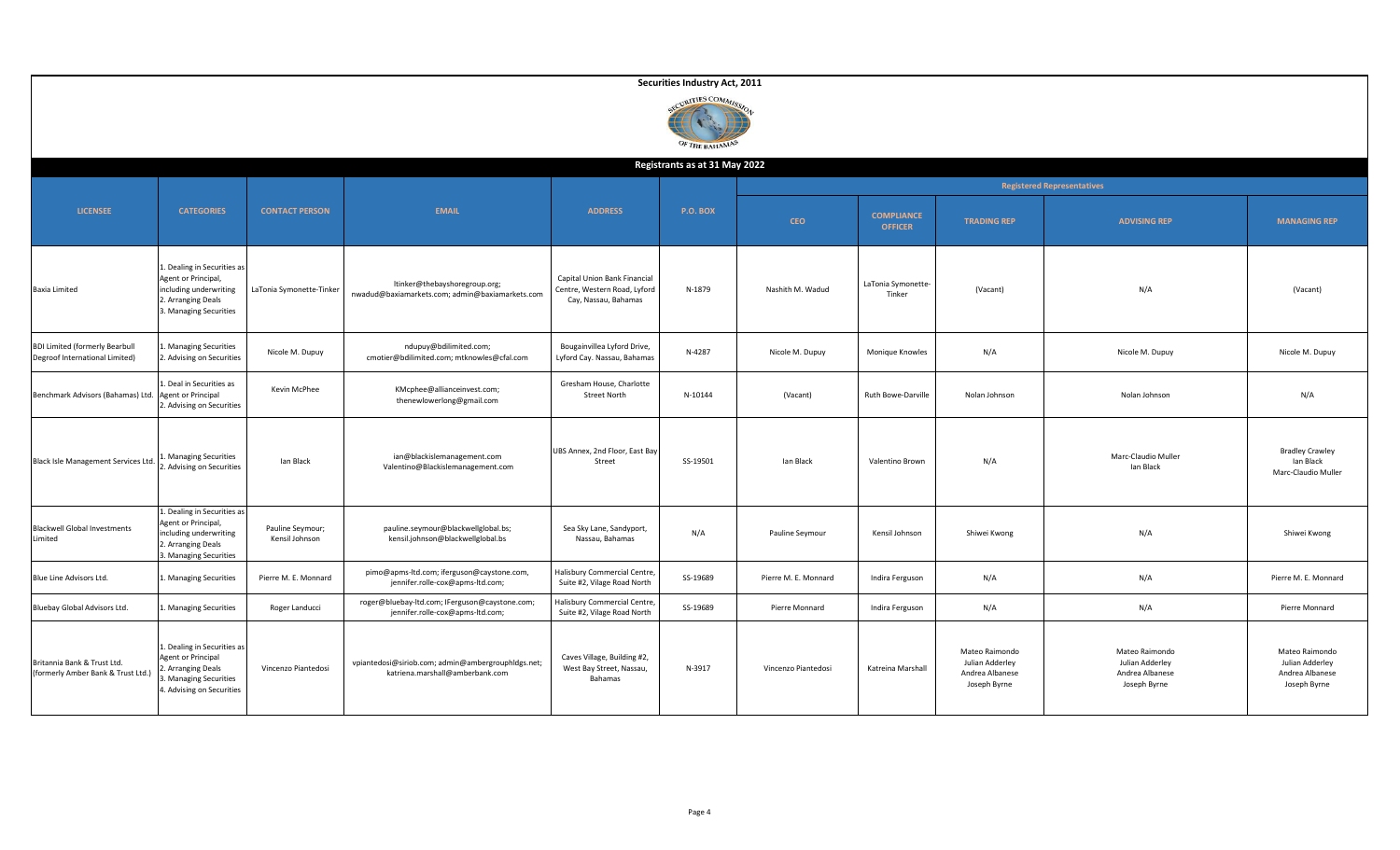|                                                                         |                                                                                                                                   |                                    |                                                                                       |                                                                                      | Securities Industry Act, 2011     |                      |                                     |                                                                      |                                                                      |                                                                      |
|-------------------------------------------------------------------------|-----------------------------------------------------------------------------------------------------------------------------------|------------------------------------|---------------------------------------------------------------------------------------|--------------------------------------------------------------------------------------|-----------------------------------|----------------------|-------------------------------------|----------------------------------------------------------------------|----------------------------------------------------------------------|----------------------------------------------------------------------|
|                                                                         |                                                                                                                                   |                                    |                                                                                       |                                                                                      | CURITIES COMMIS<br>OF THE BAHAMAS |                      |                                     |                                                                      |                                                                      |                                                                      |
|                                                                         |                                                                                                                                   |                                    |                                                                                       |                                                                                      | Registrants as at 31 May 2022     |                      |                                     |                                                                      | <b>Registered Representatives</b>                                    |                                                                      |
| <b>LICENSEE</b>                                                         | <b>CATEGORIES</b>                                                                                                                 | <b>CONTACT PERSON</b>              | <b>EMAIL</b>                                                                          | <b>ADDRESS</b>                                                                       | <b>P.O. BOX</b>                   | <b>CEO</b>           | <b>COMPLIANCE</b><br><b>OFFICER</b> | <b>TRADING REP</b>                                                   | <b>ADVISING REP</b>                                                  | <b>MANAGING REP</b>                                                  |
| Baxia Limited                                                           | 1. Dealing in Securities as<br>Agent or Principal,<br>including underwriting<br>2. Arranging Deals<br>3. Managing Securities      | LaTonia Symonette-Tinker           | ltinker@thebayshoregroup.org;<br>nwadud@baxiamarkets.com; admin@baxiamarkets.com      | Capital Union Bank Financial<br>Centre, Western Road, Lyford<br>Cay, Nassau, Bahamas | N-1879                            | Nashith M. Wadud     | LaTonia Symonette-<br>Tinker        | (Vacant)                                                             | N/A                                                                  | (Vacant)                                                             |
| <b>BDI Limited (formerly Bearbull</b><br>Degroof International Limited) | . Managing Securities<br>2. Advising on Securities                                                                                | Nicole M. Dupuy                    | ndupuy@bdilimited.com;<br>cmotier@bdilimited.com; mtknowles@cfal.com                  | Bougainvillea Lyford Drive,<br>Lyford Cay. Nassau, Bahamas                           | N-4287                            | Nicole M. Dupuy      | Monique Knowles                     | N/A                                                                  | Nicole M. Dupuy                                                      | Nicole M. Dupuy                                                      |
| Benchmark Advisors (Bahamas) Ltd                                        | Deal in Securities as<br><b>Agent or Principal</b><br>. Advising on Securities                                                    | Kevin McPhee                       | KMcphee@allianceinvest.com;<br>thenewlowerlong@gmail.com                              | Gresham House, Charlotte<br><b>Street North</b>                                      | N-10144                           | (Vacant)             | Ruth Bowe-Darville                  | Nolan Johnson                                                        | Nolan Johnson                                                        | N/A                                                                  |
| Black Isle Management Services Ltd.                                     | Managing Securities<br>2. Advising on Securities                                                                                  | Ian Black                          | ian@blackislemanagement.com<br>Valentino@Blackislemanagement.com                      | UBS Annex, 2nd Floor, East Bay<br>Street                                             | SS-19501                          | Ian Black            | Valentino Brown                     | N/A                                                                  | Marc-Claudio Muller<br>Ian Black                                     | <b>Bradley Crawley</b><br>Ian Black<br>Marc-Claudio Muller           |
| <b>Blackwell Global Investments</b><br><i>imited</i>                    | 1. Dealing in Securities as<br>Agent or Principal,<br>including underwriting<br>2. Arranging Deals<br>3. Managing Securities      | Pauline Seymour;<br>Kensil Johnson | pauline.seymour@blackwellglobal.bs;<br>kensil.johnson@blackwellglobal.bs              | Sea Sky Lane, Sandyport,<br>Nassau, Bahamas                                          | N/A                               | Pauline Seymour      | Kensil Johnson                      | Shiwei Kwong                                                         | N/A                                                                  | Shiwei Kwong                                                         |
| <b>Blue Line Advisors Ltd.</b>                                          | . Managing Securities                                                                                                             | Pierre M. E. Monnard               | pimo@apms-ltd.com; iferguson@caystone.com,<br>jennifer.rolle-cox@apms-ltd.com;        | Halisbury Commercial Centre<br>Suite #2, Vilage Road North                           | SS-19689                          | Pierre M. E. Monnard | Indira Ferguson                     | N/A                                                                  | N/A                                                                  | Pierre M. E. Monnard                                                 |
| Bluebay Global Advisors Ltd.                                            | Managing Securities                                                                                                               | Roger Landucci                     | roger@bluebay-ltd.com; IFerguson@caystone.com;<br>jennifer.rolle-cox@apms-ltd.com;    | Halisbury Commercial Centre<br>Suite #2, Vilage Road North                           | SS-19689                          | Pierre Monnard       | Indira Ferguson                     | N/A                                                                  | N/A                                                                  | Pierre Monnard                                                       |
| Britannia Bank & Trust Ltd.<br>(formerly Amber Bank & Trust Ltd.)       | 1. Dealing in Securities as<br><b>Agent or Principal</b><br>. Arranging Deals<br>Managing Securities<br>4. Advising on Securities | Vincenzo Piantedosi                | vpiantedosi@siriob.com; admin@ambergrouphldgs.net;<br>katriena.marshall@amberbank.com | Caves Village, Building #2,<br>West Bay Street, Nassau,<br>Bahamas                   | N-3917                            | Vincenzo Piantedosi  | Katreina Marshall                   | Mateo Raimondo<br>Julian Adderley<br>Andrea Albanese<br>Joseph Byrne | Mateo Raimondo<br>Julian Adderley<br>Andrea Albanese<br>Joseph Byrne | Mateo Raimondo<br>Julian Adderley<br>Andrea Albanese<br>Joseph Byrne |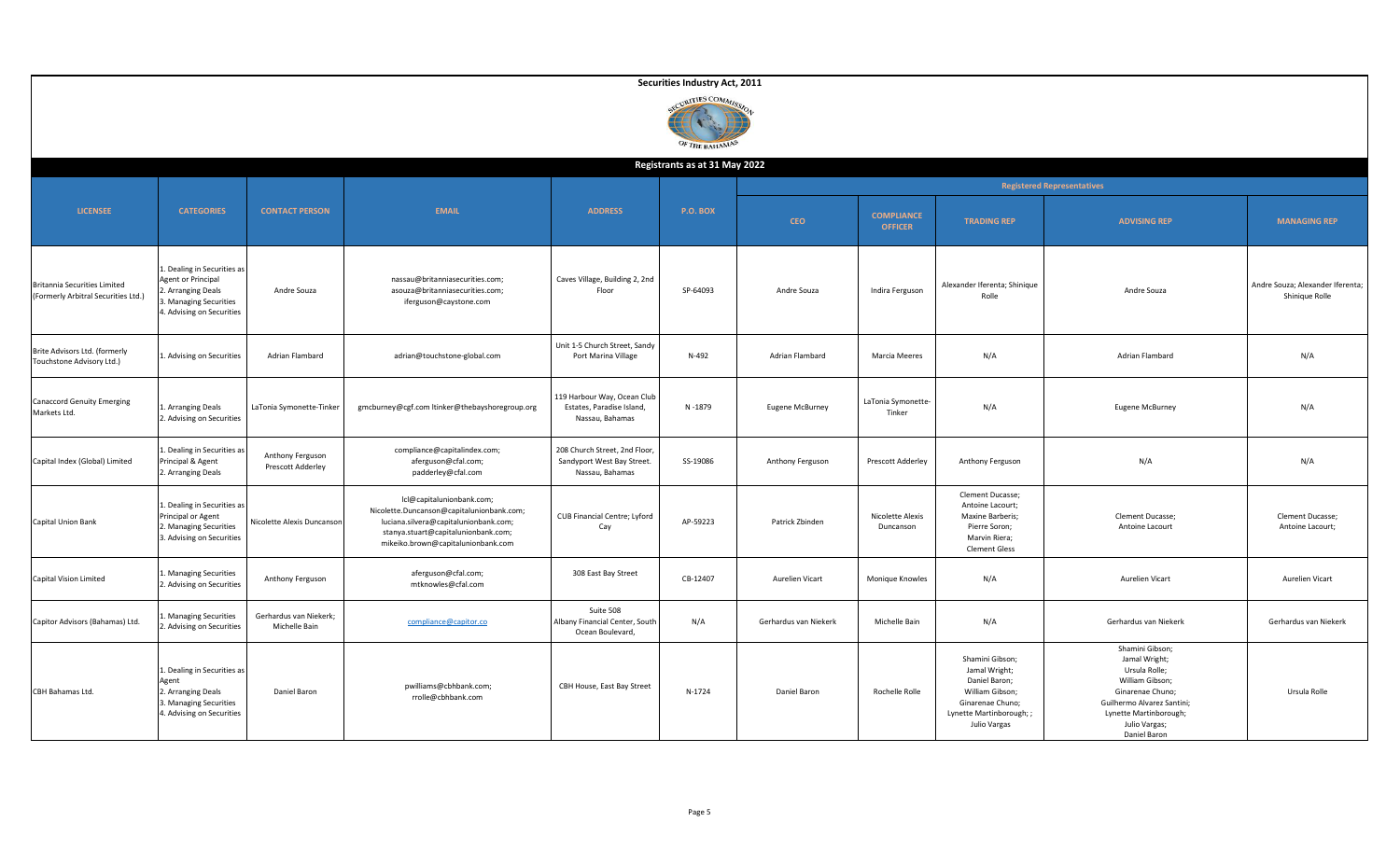|                                                                     |                                                                                                                                |                                         |                                                                                                                                                                                              |                                                                                | Securities Industry Act, 2011      |                       |                                     |                                                                                                                                      |                                                                                                                                                                                   |                                                    |
|---------------------------------------------------------------------|--------------------------------------------------------------------------------------------------------------------------------|-----------------------------------------|----------------------------------------------------------------------------------------------------------------------------------------------------------------------------------------------|--------------------------------------------------------------------------------|------------------------------------|-----------------------|-------------------------------------|--------------------------------------------------------------------------------------------------------------------------------------|-----------------------------------------------------------------------------------------------------------------------------------------------------------------------------------|----------------------------------------------------|
|                                                                     |                                                                                                                                |                                         |                                                                                                                                                                                              |                                                                                | CURITIES COMMISS<br>OF THE BAHAMAS |                       |                                     |                                                                                                                                      |                                                                                                                                                                                   |                                                    |
|                                                                     |                                                                                                                                |                                         |                                                                                                                                                                                              |                                                                                | Registrants as at 31 May 2022      |                       |                                     |                                                                                                                                      |                                                                                                                                                                                   |                                                    |
|                                                                     |                                                                                                                                |                                         |                                                                                                                                                                                              |                                                                                |                                    |                       |                                     |                                                                                                                                      | <b>Registered Representatives</b>                                                                                                                                                 |                                                    |
| <b>LICENSEE</b>                                                     | <b>CATEGORIES</b>                                                                                                              | <b>CONTACT PERSON</b>                   | <b>EMAIL</b>                                                                                                                                                                                 | <b>ADDRESS</b>                                                                 | <b>P.O. BOX</b>                    | <b>CEO</b>            | <b>COMPLIANCE</b><br><b>OFFICER</b> | <b>TRADING REP</b>                                                                                                                   | <b>ADVISING REP</b>                                                                                                                                                               | <b>MANAGING REP</b>                                |
| Britannia Securities Limited<br>(Formerly Arbitral Securities Ltd.) | 1. Dealing in Securities as<br>Agent or Principal<br>2. Arranging Deals<br>3. Managing Securities<br>4. Advising on Securities | Andre Souza                             | nassau@britanniasecurities.com;<br>asouza@britanniasecurities.com;<br>iferguson@caystone.com                                                                                                 | Caves Village, Building 2, 2nd<br>Floor                                        | SP-64093                           | Andre Souza           | Indira Ferguson                     | Alexander Iferenta; Shinique<br>Rolle                                                                                                | Andre Souza                                                                                                                                                                       | Andre Souza; Alexander Iferenta;<br>Shinique Rolle |
| Brite Advisors Ltd. (formerly<br>Touchstone Advisory Ltd.)          | 1. Advising on Securities                                                                                                      | Adrian Flambard                         | adrian@touchstone-global.com                                                                                                                                                                 | Unit 1-5 Church Street, Sandy<br>Port Marina Village                           | N-492                              | Adrian Flambard       | Marcia Meeres                       | N/A                                                                                                                                  | Adrian Flambard                                                                                                                                                                   | N/A                                                |
| <b>Canaccord Genuity Emerging</b><br>Markets Ltd.                   | L. Arranging Deals<br>2. Advising on Securities                                                                                | LaTonia Symonette-Tinker                | gmcburney@cgf.com ltinker@thebayshoregroup.org                                                                                                                                               | 119 Harbour Way, Ocean Club<br>Estates, Paradise Island,<br>Nassau, Bahamas    | N-1879                             | Eugene McBurney       | LaTonia Symonette-<br>Tinker        | N/A                                                                                                                                  | <b>Eugene McBurney</b>                                                                                                                                                            | N/A                                                |
| Capital Index (Global) Limited                                      | 1. Dealing in Securities as<br>Principal & Agent<br>2. Arranging Deals                                                         | Anthony Ferguson<br>Prescott Adderley   | compliance@capitalindex.com;<br>aferguson@cfal.com;<br>padderley@cfal.com                                                                                                                    | 208 Church Street, 2nd Floor,<br>Sandyport West Bay Street.<br>Nassau, Bahamas | SS-19086                           | Anthony Ferguson      | Prescott Adderley                   | Anthony Ferguson                                                                                                                     | N/A                                                                                                                                                                               | N/A                                                |
| Capital Union Bank                                                  | 1. Dealing in Securities as<br>Principal or Agent<br>2. Managing Securities<br>3. Advising on Securities                       | Nicolette Alexis Duncanson              | Icl@capitalunionbank.com;<br>Nicolette.Duncanson@capitalunionbank.com;<br>luciana.silvera@capitalunionbank.com;<br>stanya.stuart@capitalunionbank.com;<br>mikeiko.brown@capitalunionbank.com | CUB Financial Centre; Lyford<br>Cay                                            | AP-59223                           | Patrick Zbinden       | Nicolette Alexis<br>Duncanson       | Clement Ducasse;<br>Antoine Lacourt;<br>Maxine Barberis;<br>Pierre Soron;<br>Marvin Riera;<br><b>Clement Gless</b>                   | Clement Ducasse;<br>Antoine Lacourt                                                                                                                                               | Clement Ducasse;<br>Antoine Lacourt;               |
| Capital Vision Limited                                              | . Managing Securities<br>2. Advising on Securities                                                                             | Anthony Ferguson                        | aferguson@cfal.com;<br>mtknowles@cfal.com                                                                                                                                                    | 308 East Bay Street                                                            | CB-12407                           | Aurelien Vicart       | Monique Knowles                     | N/A                                                                                                                                  | Aurelien Vicart                                                                                                                                                                   | Aurelien Vicart                                    |
| Capitor Advisors (Bahamas) Ltd.                                     | Managing Securities<br>2. Advising on Securities                                                                               | Gerhardus van Niekerk;<br>Michelle Bain | compliance@capitor.co                                                                                                                                                                        | Suite 508<br>Albany Financial Center, South<br>Ocean Boulevard,                | N/A                                | Gerhardus van Niekerk | Michelle Bain                       | N/A                                                                                                                                  | Gerhardus van Niekerk                                                                                                                                                             | Gerhardus van Niekerk                              |
| CBH Bahamas Ltd.                                                    | 1. Dealing in Securities as<br>Agent<br>2. Arranging Deals<br>3. Managing Securities<br>4. Advising on Securities              | Daniel Baron                            | pwilliams@cbhbank.com;<br>rrolle@cbhbank.com                                                                                                                                                 | CBH House, East Bay Street                                                     | N-1724                             | Daniel Baron          | Rochelle Rolle                      | Shamini Gibson;<br>Jamal Wright;<br>Daniel Baron;<br>William Gibson;<br>Ginarenae Chuno;<br>Lynette Martinborough; ;<br>Julio Vargas | Shamini Gibson;<br>Jamal Wright;<br>Ursula Rolle;<br>William Gibson;<br>Ginarenae Chuno;<br>Guilhermo Alvarez Santini;<br>Lynette Martinborough;<br>Julio Vargas;<br>Daniel Baron | Ursula Rolle                                       |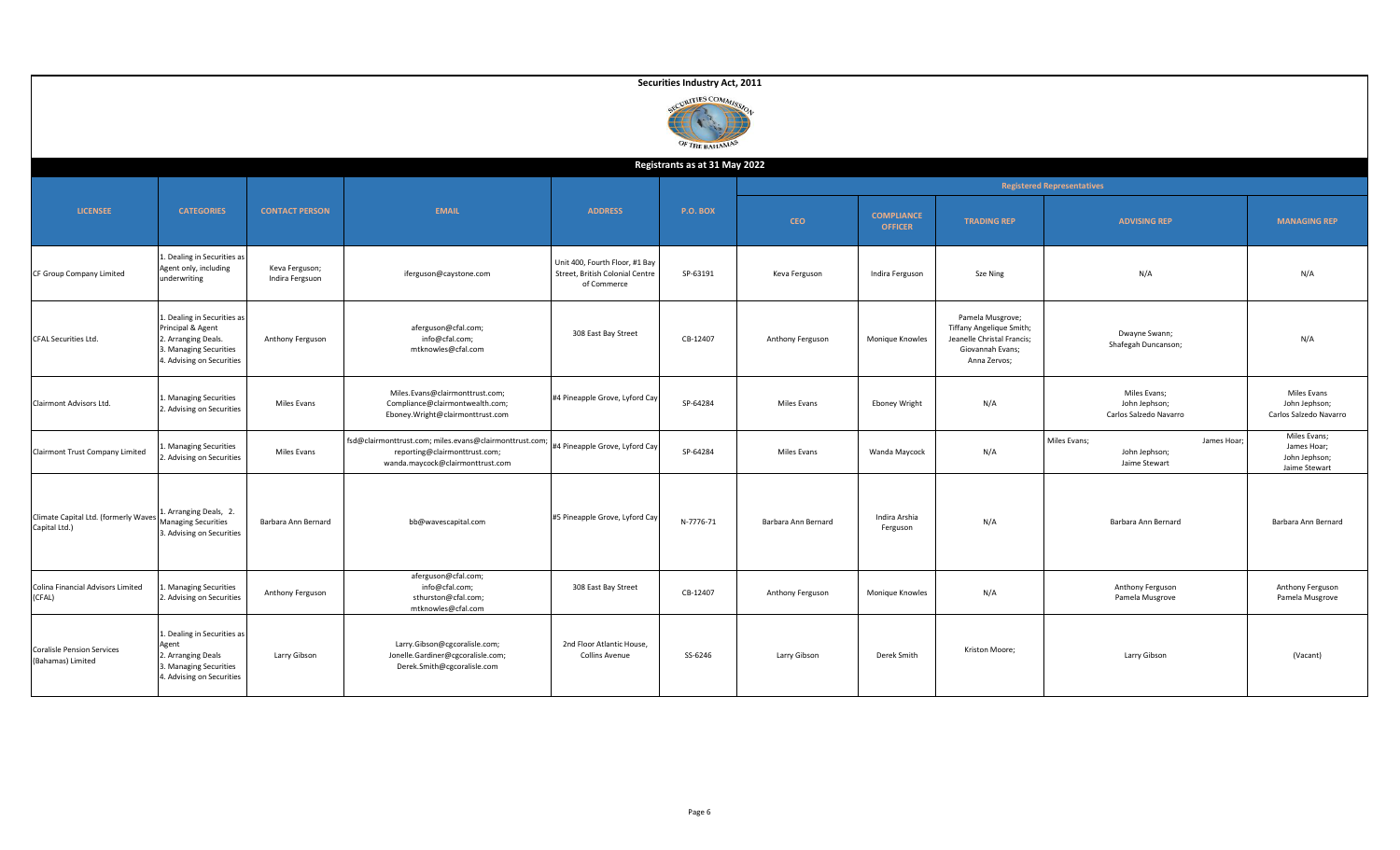|                                                        |                                                                                                                                |                                   |                                                                                                                             |                                                                                  | Securities Industry Act, 2011          |                     |                                     |                                                                                                                |                                                               |                                                               |
|--------------------------------------------------------|--------------------------------------------------------------------------------------------------------------------------------|-----------------------------------|-----------------------------------------------------------------------------------------------------------------------------|----------------------------------------------------------------------------------|----------------------------------------|---------------------|-------------------------------------|----------------------------------------------------------------------------------------------------------------|---------------------------------------------------------------|---------------------------------------------------------------|
|                                                        |                                                                                                                                |                                   |                                                                                                                             |                                                                                  | <b>INITIES COMMI</b><br>OF THE BAHAMAS |                     |                                     |                                                                                                                |                                                               |                                                               |
|                                                        |                                                                                                                                |                                   |                                                                                                                             |                                                                                  | Registrants as at 31 May 2022          |                     |                                     |                                                                                                                |                                                               |                                                               |
| <b>LICENSEE</b>                                        | <b>CATEGORIES</b>                                                                                                              | <b>CONTACT PERSON</b>             | <b>EMAIL</b>                                                                                                                | <b>ADDRESS</b>                                                                   | <b>P.O. BOX</b>                        | <b>CEO</b>          | <b>COMPLIANCE</b><br><b>OFFICER</b> | <b>TRADING REP</b>                                                                                             | <b>Registered Representatives</b><br><b>ADVISING REP</b>      | <b>MANAGING REP</b>                                           |
| CF Group Company Limited                               | 1. Dealing in Securities as<br>Agent only, including<br>underwriting                                                           | Keva Ferguson;<br>Indira Fergsuon | iferguson@caystone.com                                                                                                      | Unit 400, Fourth Floor, #1 Bay<br>Street, British Colonial Centre<br>of Commerce | SP-63191                               | Keva Ferguson       | Indira Ferguson                     | Sze Ning                                                                                                       | N/A                                                           | N/A                                                           |
| CFAL Securities Ltd.                                   | 1. Dealing in Securities as<br>Principal & Agent<br>2. Arranging Deals.<br>3. Managing Securities<br>4. Advising on Securities | Anthony Ferguson                  | aferguson@cfal.com;<br>info@cfal.com;<br>mtknowles@cfal.com                                                                 | 308 East Bay Street                                                              | CB-12407                               | Anthony Ferguson    | Monique Knowles                     | Pamela Musgrove;<br>Tiffany Angelique Smith;<br>Jeanelle Christal Francis;<br>Giovannah Evans;<br>Anna Zervos; | Dwayne Swann;<br>Shafegah Duncanson;                          | N/A                                                           |
| Clairmont Advisors Ltd.                                | 1. Managing Securities<br>2. Advising on Securities                                                                            | Miles Evans                       | Miles.Evans@clairmonttrust.com;<br>Compliance@clairmontwealth.com;<br>Eboney.Wright@clairmonttrust.com                      | #4 Pineapple Grove, Lyford Cay                                                   | SP-64284                               | Miles Evans         | <b>Eboney Wright</b>                | N/A                                                                                                            | Miles Evans;<br>John Jephson;<br>Carlos Salzedo Navarro       | Miles Evans<br>John Jephson;<br>Carlos Salzedo Navarro        |
| Clairmont Trust Company Limited                        | . Managing Securities<br>2. Advising on Securities                                                                             | Miles Evans                       | fsd@clairmonttrust.com; miles.evans@clairmonttrust.com<br>reporting@clairmonttrust.com;<br>wanda.maycock@clairmonttrust.com | #4 Pineapple Grove, Lyford Cay                                                   | SP-64284                               | Miles Evans         | Wanda Maycock                       | N/A                                                                                                            | Miles Evans;<br>James Hoar;<br>John Jephson;<br>Jaime Stewart | Miles Evans;<br>James Hoar;<br>John Jephson;<br>Jaime Stewart |
| Climate Capital Ltd. (formerly Waves<br>Capital Ltd.)  | 1. Arranging Deals, 2.<br><b>Managing Securities</b><br>3. Advising on Securities                                              | Barbara Ann Bernard               | bb@wavescapital.com                                                                                                         | #5 Pineapple Grove, Lyford Cay                                                   | N-7776-71                              | Barbara Ann Bernard | Indira Arshia<br>Ferguson           | N/A                                                                                                            | Barbara Ann Bernard                                           | Barbara Ann Bernard                                           |
| Colina Financial Advisors Limited<br>(CFAL)            | . Managing Securities<br>2. Advising on Securities                                                                             | Anthony Ferguson                  | aferguson@cfal.com;<br>info@cfal.com;<br>sthurston@cfal.com;<br>mtknowles@cfal.com                                          | 308 East Bay Street                                                              | CB-12407                               | Anthony Ferguson    | Monique Knowles                     | N/A                                                                                                            | Anthony Ferguson<br>Pamela Musgrove                           | Anthony Ferguson<br>Pamela Musgrove                           |
| <b>Coralisle Pension Services</b><br>(Bahamas) Limited | 1. Dealing in Securities as<br>Agent<br>2. Arranging Deals<br>3. Managing Securities<br>4. Advising on Securities              | Larry Gibson                      | Larry.Gibson@cgcoralisle.com;<br>Jonelle.Gardiner@cgcoralisle.com;<br>Derek.Smith@cgcoralisle.com                           | 2nd Floor Atlantic House,<br><b>Collins Avenue</b>                               | SS-6246                                | Larry Gibson        | Derek Smith                         | Kriston Moore;                                                                                                 | Larry Gibson                                                  | (Vacant)                                                      |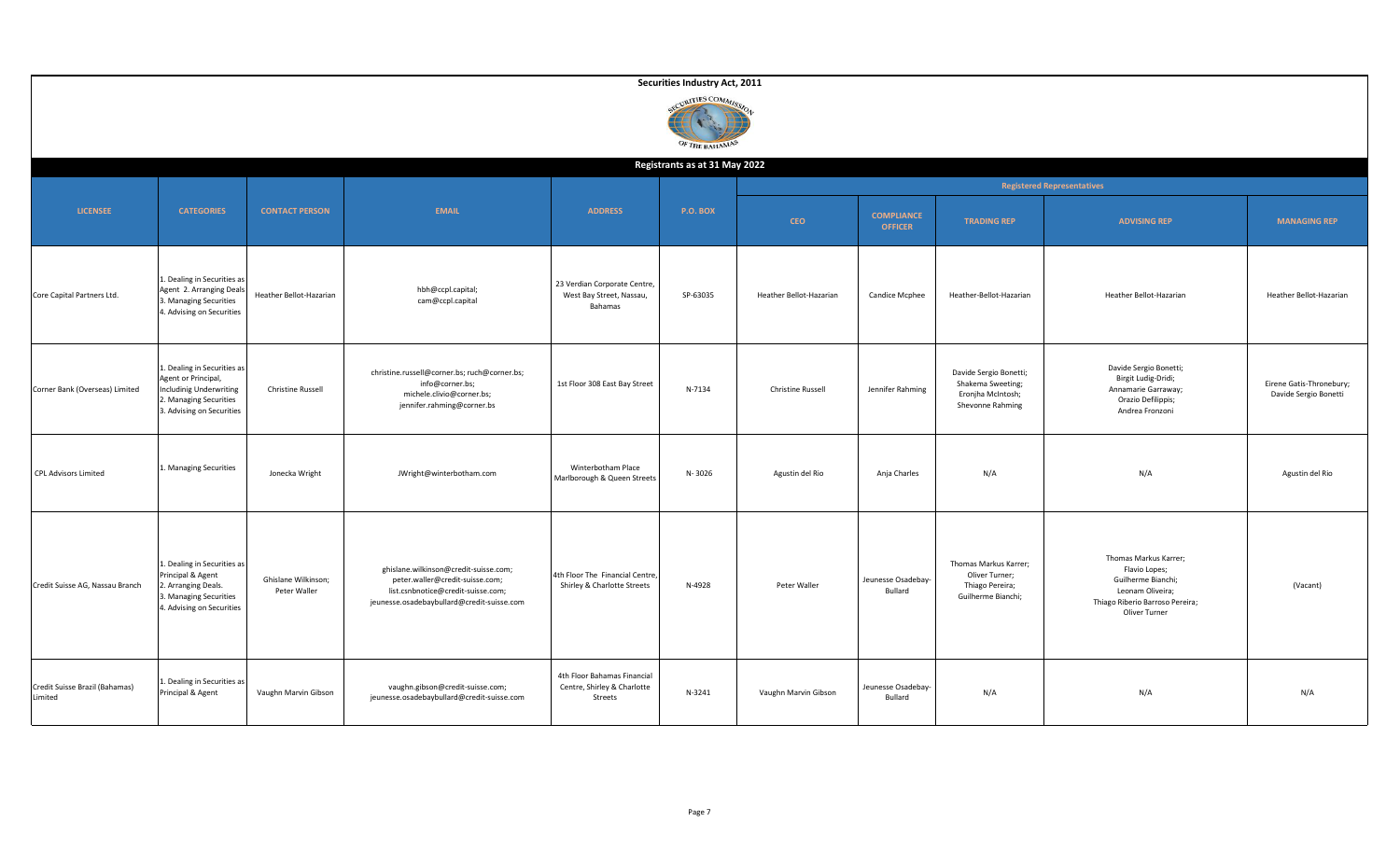|                                           |                                                                                                                                            |                                     |                                                                                                                                                              |                                                                       | Securities Industry Act, 2011 |                          |                                     |                                                                                      |                                                                                                                                      |                                                   |  |  |  |
|-------------------------------------------|--------------------------------------------------------------------------------------------------------------------------------------------|-------------------------------------|--------------------------------------------------------------------------------------------------------------------------------------------------------------|-----------------------------------------------------------------------|-------------------------------|--------------------------|-------------------------------------|--------------------------------------------------------------------------------------|--------------------------------------------------------------------------------------------------------------------------------------|---------------------------------------------------|--|--|--|
|                                           | CURITIES COMMISS<br>OF THE BAHAMAS<br>Registrants as at 31 May 2022                                                                        |                                     |                                                                                                                                                              |                                                                       |                               |                          |                                     |                                                                                      |                                                                                                                                      |                                                   |  |  |  |
|                                           |                                                                                                                                            |                                     |                                                                                                                                                              |                                                                       |                               |                          |                                     |                                                                                      |                                                                                                                                      |                                                   |  |  |  |
|                                           |                                                                                                                                            |                                     |                                                                                                                                                              |                                                                       |                               |                          |                                     |                                                                                      | <b>Registered Representatives</b>                                                                                                    |                                                   |  |  |  |
| <b>LICENSEE</b>                           | <b>CATEGORIES</b>                                                                                                                          | <b>CONTACT PERSON</b>               | <b>EMAIL</b>                                                                                                                                                 | <b>ADDRESS</b>                                                        | <b>P.O. BOX</b>               | <b>CEO</b>               | <b>COMPLIANCE</b><br><b>OFFICER</b> | <b>TRADING REP</b>                                                                   | <b>ADVISING REP</b>                                                                                                                  | <b>MANAGING REP</b>                               |  |  |  |
| Core Capital Partners Ltd.                | Dealing in Securities as<br>Agent 2. Arranging Deals<br>3. Managing Securities<br>4. Advising on Securities                                | Heather Bellot-Hazarian             | hbh@ccpl.capital;<br>cam@ccpl.capital                                                                                                                        | 23 Verdian Corporate Centre,<br>West Bay Street, Nassau,<br>Bahamas   | SP-63035                      | Heather Bellot-Hazarian  | Candice Mcphee                      | Heather-Bellot-Hazarian                                                              | Heather Bellot-Hazarian                                                                                                              | Heather Bellot-Hazarian                           |  |  |  |
| Corner Bank (Overseas) Limited            | L. Dealing in Securities as<br>Agent or Principal,<br><b>Includinig Underwriting</b><br>. Managing Securities<br>3. Advising on Securities | Christine Russell                   | christine.russell@corner.bs; ruch@corner.bs;<br>info@corner.bs;<br>michele.clivio@corner.bs;<br>jennifer.rahming@corner.bs                                   | 1st Floor 308 East Bay Street                                         | N-7134                        | <b>Christine Russell</b> | Jennifer Rahming                    | Davide Sergio Bonetti;<br>Shakema Sweeting;<br>Eronjha McIntosh;<br>Shevonne Rahming | Davide Sergio Bonetti;<br>Birgit Ludig-Dridi;<br>Annamarie Garraway;<br>Orazio Defilippis;<br>Andrea Fronzoni                        | Eirene Gatis-Thronebury;<br>Davide Sergio Bonetti |  |  |  |
| <b>CPL Advisors Limited</b>               | Managing Securities                                                                                                                        | Jonecka Wright                      | JWright@winterbotham.com                                                                                                                                     | Winterbotham Place<br>Marlborough & Queen Streets                     | N-3026                        | Agustin del Rio          | Anja Charles                        | N/A                                                                                  | N/A                                                                                                                                  | Agustin del Rio                                   |  |  |  |
| Credit Suisse AG, Nassau Branch           | Dealing in Securities as<br>Principal & Agent<br>2. Arranging Deals.<br>3. Managing Securities<br>4. Advising on Securities                | Ghislane Wilkinson;<br>Peter Waller | ghislane.wilkinson@credit-suisse.com;<br>peter.waller@credit-suisse.com;<br>list.csnbnotice@credit-suisse.com;<br>jeunesse.osadebaybullard@credit-suisse.com | 4th Floor The Financial Centre,<br>Shirley & Charlotte Streets        | N-4928                        | Peter Waller             | Jeunesse Osadebay-<br>Bullard       | Thomas Markus Karrer;<br>Oliver Turner;<br>Thiago Pereira;<br>Guilherme Bianchi;     | Thomas Markus Karrer;<br>Flavio Lopes;<br>Guilherme Bianchi;<br>Leonam Oliveira;<br>Thiago Riberio Barroso Pereira;<br>Oliver Turner | (Vacant)                                          |  |  |  |
| Credit Suisse Brazil (Bahamas)<br>Limited | Dealing in Securities as<br>Principal & Agent                                                                                              | Vaughn Marvin Gibson                | vaughn.gibson@credit-suisse.com;<br>jeunesse.osadebaybullard@credit-suisse.com                                                                               | 4th Floor Bahamas Financial<br>Centre, Shirley & Charlotte<br>Streets | N-3241                        | Vaughn Marvin Gibson     | Jeunesse Osadebay-<br>Bullard       | N/A                                                                                  | N/A                                                                                                                                  | N/A                                               |  |  |  |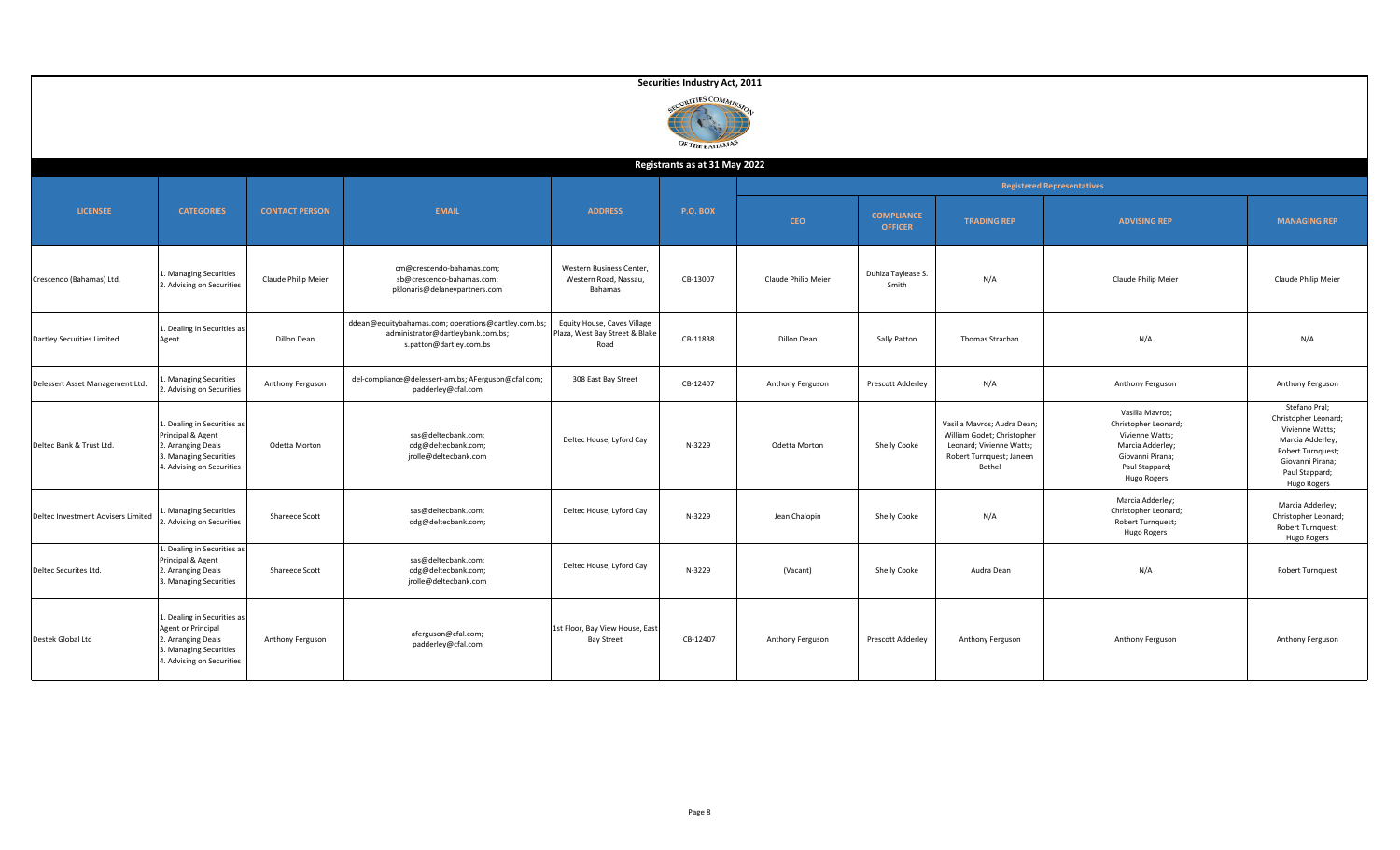|                                    |                                                                                                                                |                       |                                                                                                                     |                                                                       | Securities Industry Act, 2011      |                     |                                     |                                                                                                                             |                                                                                                                                     |                                                                                                                                                        |
|------------------------------------|--------------------------------------------------------------------------------------------------------------------------------|-----------------------|---------------------------------------------------------------------------------------------------------------------|-----------------------------------------------------------------------|------------------------------------|---------------------|-------------------------------------|-----------------------------------------------------------------------------------------------------------------------------|-------------------------------------------------------------------------------------------------------------------------------------|--------------------------------------------------------------------------------------------------------------------------------------------------------|
|                                    |                                                                                                                                |                       |                                                                                                                     |                                                                       | CURITIES COMMISS<br>OF THE BAHAMAS |                     |                                     |                                                                                                                             |                                                                                                                                     |                                                                                                                                                        |
|                                    |                                                                                                                                |                       |                                                                                                                     |                                                                       | Registrants as at 31 May 2022      |                     |                                     |                                                                                                                             |                                                                                                                                     |                                                                                                                                                        |
|                                    |                                                                                                                                |                       |                                                                                                                     |                                                                       |                                    |                     |                                     |                                                                                                                             | <b>Registered Representatives</b>                                                                                                   |                                                                                                                                                        |
| <b>LICENSEE</b>                    | <b>CATEGORIES</b>                                                                                                              | <b>CONTACT PERSON</b> | <b>EMAIL</b>                                                                                                        | <b>ADDRESS</b>                                                        | <b>P.O. BOX</b>                    | <b>CEO</b>          | <b>COMPLIANCE</b><br><b>OFFICER</b> | <b>TRADING REP</b>                                                                                                          | <b>ADVISING REP</b>                                                                                                                 | <b>MANAGING REP</b>                                                                                                                                    |
| Crescendo (Bahamas) Ltd.           | . Managing Securities<br>2. Advising on Securities                                                                             | Claude Philip Meier   | cm@crescendo-bahamas.com;<br>sb@crescendo-bahamas.com;<br>pklonaris@delaneypartners.com                             | Western Business Center,<br>Western Road, Nassau,<br>Bahamas          | CB-13007                           | Claude Philip Meier | Duhiza Taylease S.<br>Smith         | N/A                                                                                                                         | Claude Philip Meier                                                                                                                 | Claude Philip Meier                                                                                                                                    |
| Dartley Securities Limited         | 1. Dealing in Securities as<br>Agent                                                                                           | Dillon Dean           | ddean@equitybahamas.com; operations@dartley.com.bs;<br>administrator@dartleybank.com.bs;<br>s.patton@dartley.com.bs | Equity House, Caves Village<br>Plaza, West Bay Street & Blake<br>Road | CB-11838                           | <b>Dillon Dean</b>  | Sally Patton                        | Thomas Strachan                                                                                                             | N/A                                                                                                                                 | N/A                                                                                                                                                    |
| Delessert Asset Management Ltd.    | Managing Securities<br>. Advising on Securities                                                                                | Anthony Ferguson      | del-compliance@delessert-am.bs; AFerguson@cfal.com;<br>padderley@cfal.com                                           | 308 East Bay Street                                                   | CB-12407                           | Anthony Ferguson    | Prescott Adderley                   | N/A                                                                                                                         | Anthony Ferguson                                                                                                                    | Anthony Ferguson                                                                                                                                       |
| Deltec Bank & Trust Ltd.           | 1. Dealing in Securities as<br>Principal & Agent<br>2. Arranging Deals<br>3. Managing Securities<br>4. Advising on Securities  | Odetta Morton         | sas@deltecbank.com;<br>odg@deltecbank.com;<br>jrolle@deltecbank.com                                                 | Deltec House, Lyford Cay                                              | N-3229                             | Odetta Morton       | Shelly Cooke                        | Vasilia Mavros; Audra Dean;<br>William Godet; Christopher<br>Leonard; Vivienne Watts;<br>Robert Turnquest; Janeen<br>Bethel | Vasilia Mavros;<br>Christopher Leonard;<br>Vivienne Watts;<br>Marcia Adderley;<br>Giovanni Pirana;<br>Paul Stappard;<br>Hugo Rogers | Stefano Pral;<br>Christopher Leonard;<br>Vivienne Watts;<br>Marcia Adderley;<br>Robert Turnquest;<br>Giovanni Pirana;<br>Paul Stappard;<br>Hugo Rogers |
| Deltec Investment Advisers Limited | Managing Securities<br>. Advising on Securities                                                                                | Shareece Scott        | sas@deltecbank.com;<br>odg@deltecbank.com;                                                                          | Deltec House, Lyford Cay                                              | N-3229                             | Jean Chalopin       | Shelly Cooke                        | N/A                                                                                                                         | Marcia Adderley;<br>Christopher Leonard;<br>Robert Turnquest;<br>Hugo Rogers                                                        | Marcia Adderley;<br>Christopher Leonard;<br>Robert Turnquest;<br>Hugo Rogers                                                                           |
| Deltec Securites Ltd.              | 1. Dealing in Securities as<br>Principal & Agent<br>2. Arranging Deals<br>3. Managing Securities                               | Shareece Scott        | sas@deltecbank.com;<br>odg@deltecbank.com;<br>jrolle@deltecbank.com                                                 | Deltec House, Lyford Cay                                              | N-3229                             | (Vacant)            | Shelly Cooke                        | Audra Dean                                                                                                                  | N/A                                                                                                                                 | Robert Turnquest                                                                                                                                       |
| Destek Global Ltd                  | 1. Dealing in Securities as<br>Agent or Principal<br>2. Arranging Deals<br>3. Managing Securities<br>4. Advising on Securities | Anthony Ferguson      | aferguson@cfal.com;<br>padderley@cfal.com                                                                           | 1st Floor, Bay View House, East<br><b>Bay Street</b>                  | CB-12407                           | Anthony Ferguson    | Prescott Adderley                   | Anthony Ferguson                                                                                                            | Anthony Ferguson                                                                                                                    | Anthony Ferguson                                                                                                                                       |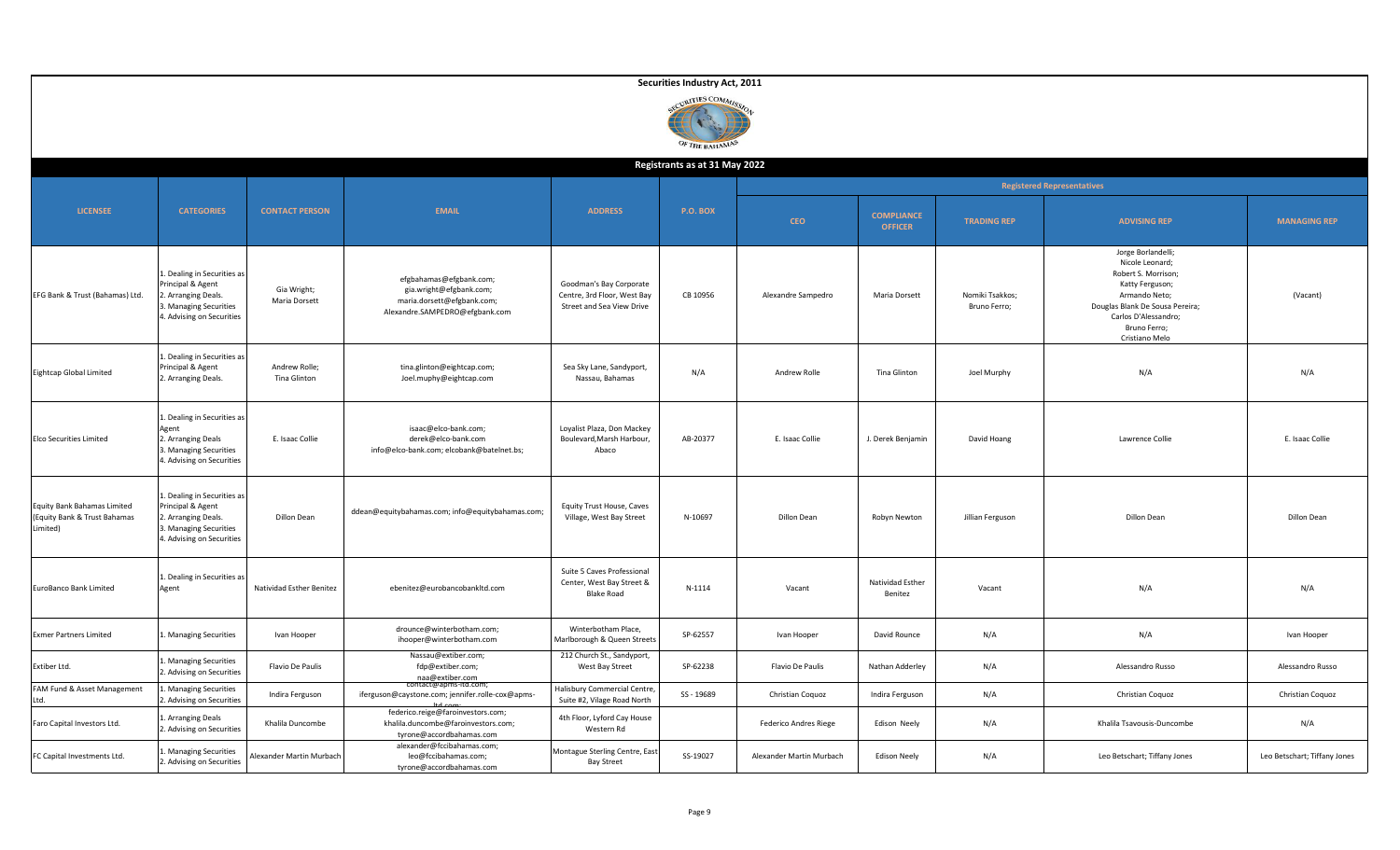|                                                                         |                                                                                                                                |                               |                                                                                                                    |                                                                                     | Securities Industry Act, 2011    |                          |                                     |                                 |                                                                                                                                                                                               |                              |
|-------------------------------------------------------------------------|--------------------------------------------------------------------------------------------------------------------------------|-------------------------------|--------------------------------------------------------------------------------------------------------------------|-------------------------------------------------------------------------------------|----------------------------------|--------------------------|-------------------------------------|---------------------------------|-----------------------------------------------------------------------------------------------------------------------------------------------------------------------------------------------|------------------------------|
|                                                                         |                                                                                                                                |                               |                                                                                                                    |                                                                                     | CURITIES COMMIS<br>OF THE BAHAMA |                          |                                     |                                 |                                                                                                                                                                                               |                              |
|                                                                         |                                                                                                                                |                               |                                                                                                                    |                                                                                     | Registrants as at 31 May 2022    |                          |                                     |                                 |                                                                                                                                                                                               |                              |
|                                                                         |                                                                                                                                |                               |                                                                                                                    |                                                                                     |                                  |                          |                                     |                                 | <b>Registered Representatives</b>                                                                                                                                                             |                              |
| <b>LICENSEE</b>                                                         | <b>CATEGORIES</b>                                                                                                              | <b>CONTACT PERSON</b>         | <b>EMAIL</b>                                                                                                       | <b>ADDRESS</b>                                                                      | P.O. BOX                         | <b>CEO</b>               | <b>COMPLIANCE</b><br><b>OFFICER</b> | <b>TRADING REP</b>              | <b>ADVISING REP</b>                                                                                                                                                                           | <b>MANAGING REP</b>          |
| EFG Bank & Trust (Bahamas) Ltd.                                         | Dealing in Securities as<br>Principal & Agent<br>. Arranging Deals.<br>. Managing Securities<br>4. Advising on Securities      | Gia Wright;<br>Maria Dorsett  | efgbahamas@efgbank.com;<br>gia.wright@efgbank.com;<br>maria.dorsett@efgbank.com;<br>Alexandre.SAMPEDRO@efgbank.com | Goodman's Bay Corporate<br>Centre, 3rd Floor, West Bay<br>Street and Sea View Drive | CB 10956                         | Alexandre Sampedro       | Maria Dorsett                       | Nomiki Tsakkos;<br>Bruno Ferro; | Jorge Borlandelli;<br>Nicole Leonard;<br>Robert S. Morrison;<br>Katty Ferguson;<br>Armando Neto;<br>Douglas Blank De Sousa Pereira;<br>Carlos D'Alessandro;<br>Bruno Ferro;<br>Cristiano Melo | (Vacant)                     |
| <b>Eightcap Global Limited</b>                                          | L. Dealing in Securities as<br>Principal & Agent<br>2. Arranging Deals.                                                        | Andrew Rolle;<br>Tina Glinton | tina.glinton@eightcap.com;<br>Joel.muphy@eightcap.com                                                              | Sea Sky Lane, Sandyport,<br>Nassau, Bahamas                                         | N/A                              | Andrew Rolle             | Tina Glinton                        | Joel Murphy                     | N/A                                                                                                                                                                                           | N/A                          |
| <b>Elco Securities Limited</b>                                          | L. Dealing in Securities as<br>Agent<br>2. Arranging Deals<br>3. Managing Securities<br>4. Advising on Securities              | E. Isaac Collie               | isaac@elco-bank.com;<br>derek@elco-bank.com<br>info@elco-bank.com; elcobank@batelnet.bs;                           | Loyalist Plaza, Don Mackey<br>Boulevard, Marsh Harbour,<br>Abaco                    | AB-20377                         | E. Isaac Collie          | J. Derek Benjamin                   | David Hoang                     | Lawrence Collie                                                                                                                                                                               | E. Isaac Collie              |
| Equity Bank Bahamas Limited<br>(Equity Bank & Trust Bahamas<br>Limited) | L. Dealing in Securities as<br>Principal & Agent<br>2. Arranging Deals.<br>3. Managing Securities<br>4. Advising on Securities | Dillon Dean                   | ddean@equitybahamas.com; info@equitybahamas.com;                                                                   | Equity Trust House, Caves<br>Village, West Bay Street                               | N-10697                          | Dillon Dean              | Robyn Newton                        | Jillian Ferguson                | Dillon Dean                                                                                                                                                                                   | Dillon Dean                  |
| EuroBanco Bank Limited                                                  | 1. Dealing in Securities as<br>Agent                                                                                           | Natividad Esther Benitez      | ebenitez@eurobancobankltd.com                                                                                      | Suite 5 Caves Professional<br>Center, West Bay Street &<br><b>Blake Road</b>        | N-1114                           | Vacant                   | Natividad Esther<br>Benitez         | Vacant                          | N/A                                                                                                                                                                                           | N/A                          |
| <b>Exmer Partners Limited</b>                                           | . Managing Securities                                                                                                          | Ivan Hooper                   | drounce@winterbotham.com;<br>ihooper@winterbotham.com                                                              | Winterbotham Place,<br>Marlborough & Queen Streets                                  | SP-62557                         | Ivan Hooper              | David Rounce                        | N/A                             | N/A                                                                                                                                                                                           | Ivan Hooper                  |
| Extiber Ltd.                                                            | Managing Securities<br>2. Advising on Securities                                                                               | Flavio De Paulis              | Nassau@extiber.com;<br>fdp@extiber.com;<br>naa@extiber.com<br>contact@apms-itd.com;                                | 212 Church St., Sandyport,<br>West Bay Street                                       | SP-62238                         | Flavio De Paulis         | Nathan Adderley                     | N/A                             | Alessandro Russo                                                                                                                                                                              | Alessandro Russo             |
| FAM Fund & Asset Management<br>Ltd.                                     | Managing Securities<br>2. Advising on Securities                                                                               | Indira Ferguson               | iferguson@caystone.com; jennifer.rolle-cox@apms-                                                                   | Halisbury Commercial Centre<br>Suite #2, Vilage Road North                          | SS-19689                         | Christian Coquoz         | Indira Ferguson                     | N/A                             | Christian Coquoz                                                                                                                                                                              | Christian Coquoz             |
| Faro Capital Investors Ltd.                                             | L. Arranging Deals<br>2. Advising on Securities                                                                                | Khalila Duncombe              | federico.reige@faroinvestors.com;<br>khalila.duncombe@faroinvestors.com;<br>tyrone@accordbahamas.com               | 4th Floor, Lyford Cay House<br>Western Rd                                           |                                  | Federico Andres Riege    | Edison Neely                        | N/A                             | Khalila Tsavousis-Duncombe                                                                                                                                                                    | N/A                          |
| FC Capital Investments Ltd.                                             | Managing Securities<br>2. Advising on Securities                                                                               | Alexander Martin Murbach      | alexander@fccibahamas.com;<br>leo@fccibahamas.com;<br>tyrone@accordbahamas.com                                     | Montague Sterling Centre, East<br><b>Bay Street</b>                                 | SS-19027                         | Alexander Martin Murbach | <b>Edison Neely</b>                 | N/A                             | Leo Betschart; Tiffany Jones                                                                                                                                                                  | Leo Betschart; Tiffany Jones |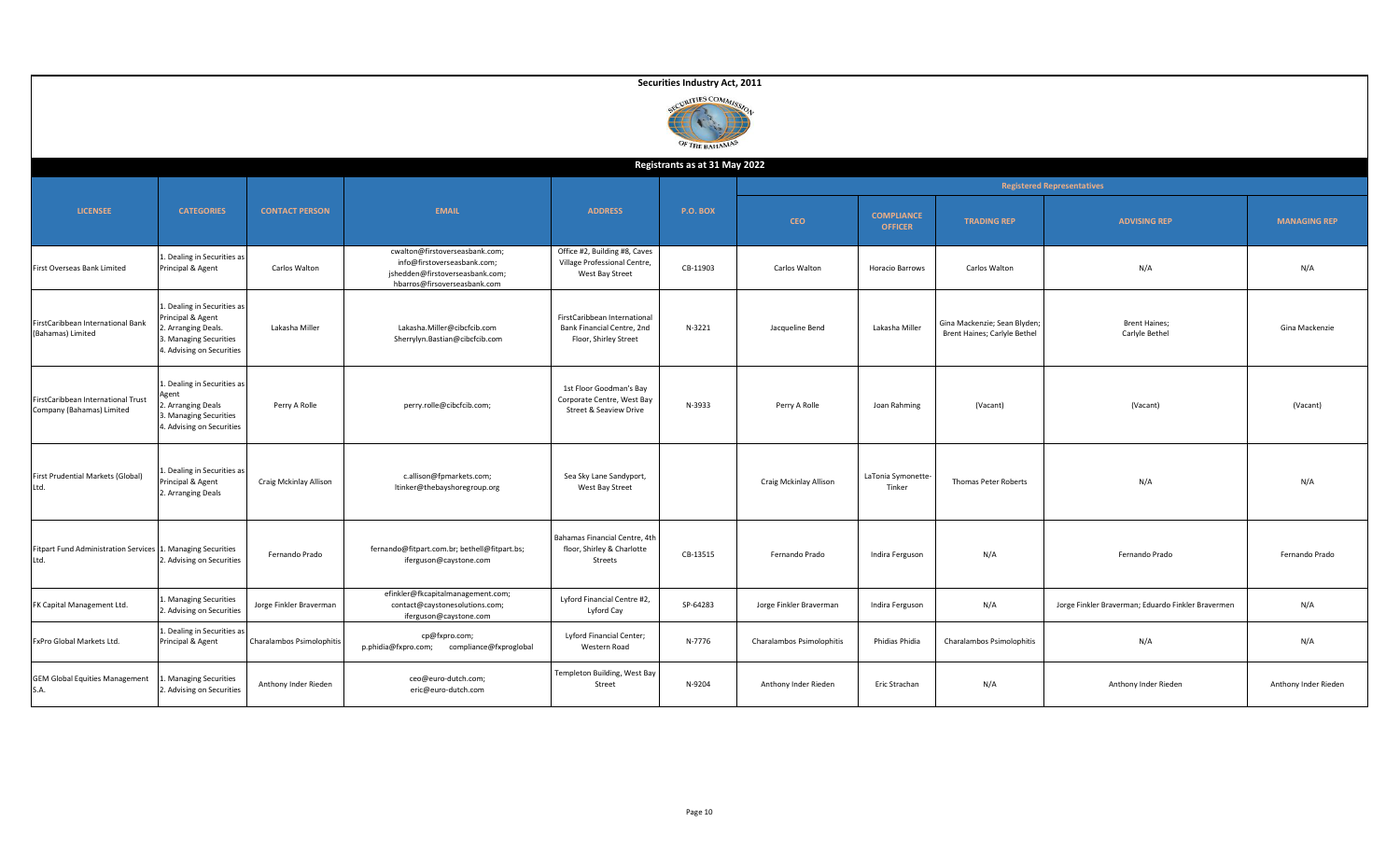|                                                                 |                                                                                                                               |                           |                                                                                                                                  |                                                                                     | Securities Industry Act, 2011     |                           |                                     |                                                              |                                                    |                      |
|-----------------------------------------------------------------|-------------------------------------------------------------------------------------------------------------------------------|---------------------------|----------------------------------------------------------------------------------------------------------------------------------|-------------------------------------------------------------------------------------|-----------------------------------|---------------------------|-------------------------------------|--------------------------------------------------------------|----------------------------------------------------|----------------------|
|                                                                 |                                                                                                                               |                           |                                                                                                                                  |                                                                                     | CURITIES COMMIS<br>OF THE BAHAMAS |                           |                                     |                                                              |                                                    |                      |
|                                                                 |                                                                                                                               |                           |                                                                                                                                  |                                                                                     | Registrants as at 31 May 2022     |                           |                                     |                                                              |                                                    |                      |
|                                                                 |                                                                                                                               |                           |                                                                                                                                  |                                                                                     |                                   |                           |                                     |                                                              | <b>Registered Representatives</b>                  |                      |
| <b>LICENSEE</b>                                                 | <b>CATEGORIES</b>                                                                                                             | <b>CONTACT PERSON</b>     | <b>EMAIL</b>                                                                                                                     | <b>ADDRESS</b>                                                                      | <b>P.O. BOX</b>                   | <b>CEO</b>                | <b>COMPLIANCE</b><br><b>OFFICER</b> | <b>TRADING REP</b>                                           | <b>ADVISING REP</b>                                | <b>MANAGING REP</b>  |
| First Overseas Bank Limited                                     | . Dealing in Securities as<br>Principal & Agent                                                                               | Carlos Walton             | cwalton@firstoverseasbank.com;<br>info@firstoverseasbank.com;<br>jshedden@firstoverseasbank.com;<br>hbarros@firsoverseasbank.com | Office #2, Building #8, Caves<br>Village Professional Centre,<br>West Bay Street    | CB-11903                          | Carlos Walton             | Horacio Barrows                     | Carlos Walton                                                | N/A                                                | N/A                  |
| FirstCaribbean International Bank<br>(Bahamas) Limited          | L. Dealing in Securities as<br>Principal & Agent<br>. Arranging Deals.<br>3. Managing Securities<br>4. Advising on Securities | Lakasha Miller            | Lakasha.Miller@cibcfcib.com<br>Sherrylyn.Bastian@cibcfcib.com                                                                    | FirstCaribbean International<br>Bank Financial Centre, 2nd<br>Floor, Shirley Street | N-3221                            | Jacqueline Bend           | Lakasha Miller                      | Gina Mackenzie; Sean Blyden;<br>Brent Haines; Carlyle Bethel | <b>Brent Haines;</b><br>Carlyle Bethel             | Gina Mackenzie       |
| FirstCaribbean International Trust<br>Company (Bahamas) Limited | Dealing in Securities as<br>Agent<br>. Arranging Deals<br>. Managing Securities<br>4. Advising on Securities                  | Perry A Rolle             | perry.rolle@cibcfcib.com;                                                                                                        | 1st Floor Goodman's Bay<br>Corporate Centre, West Bay<br>Street & Seaview Drive     | N-3933                            | Perry A Rolle             | Joan Rahming                        | (Vacant)                                                     | (Vacant)                                           | (Vacant)             |
| First Prudential Markets (Global)<br>Ltd.                       | . Dealing in Securities as<br>Principal & Agent<br>2. Arranging Deals                                                         | Craig Mckinlay Allison    | c.allison@fpmarkets.com;<br>ltinker@thebayshoregroup.org                                                                         | Sea Sky Lane Sandyport,<br>West Bay Street                                          |                                   | Craig Mckinlay Allison    | LaTonia Symonette-<br>Tinker        | Thomas Peter Roberts                                         | N/A                                                | N/A                  |
| <b>Fitpart Fund Administration Services</b><br>Ltd.             | Managing Securities<br>. Advising on Securities                                                                               | Fernando Prado            | fernando@fitpart.com.br; bethell@fitpart.bs;<br>iferguson@caystone.com                                                           | Bahamas Financial Centre, 4th<br>floor, Shirley & Charlotte<br>Streets              | CB-13515                          | Fernando Prado            | Indira Ferguson                     | N/A                                                          | Fernando Prado                                     | Fernando Prado       |
| FK Capital Management Ltd.                                      | . Managing Securities<br>. Advising on Securities                                                                             | Jorge Finkler Braverman   | efinkler@fkcapitalmanagement.com;<br>contact@caystonesolutions.com;<br>iferguson@caystone.com                                    | Lyford Financial Centre #2,<br>Lyford Cay                                           | SP-64283                          | Jorge Finkler Braverman   | Indira Ferguson                     | N/A                                                          | Jorge Finkler Braverman; Eduardo Finkler Bravermen | N/A                  |
| FxPro Global Markets Ltd.                                       | . Dealing in Securities as<br>Principal & Agent                                                                               | Charalambos Psimolophitis | cp@fxpro.com;<br>p.phidia@fxpro.com;<br>compliance@fxproglobal                                                                   | Lyford Financial Center;<br>Western Road                                            | N-7776                            | Charalambos Psimolophitis | Phidias Phidia                      | Charalambos Psimolophitis                                    | N/A                                                | N/A                  |
| <b>GEM Global Equities Management</b><br>S.A.                   | Managing Securities<br>2. Advising on Securities                                                                              | Anthony Inder Rieden      | ceo@euro-dutch.com;<br>eric@euro-dutch.com                                                                                       | Templeton Building, West Bay<br>Street                                              | N-9204                            | Anthony Inder Rieden      | Eric Strachan                       | N/A                                                          | Anthony Inder Rieden                               | Anthony Inder Rieden |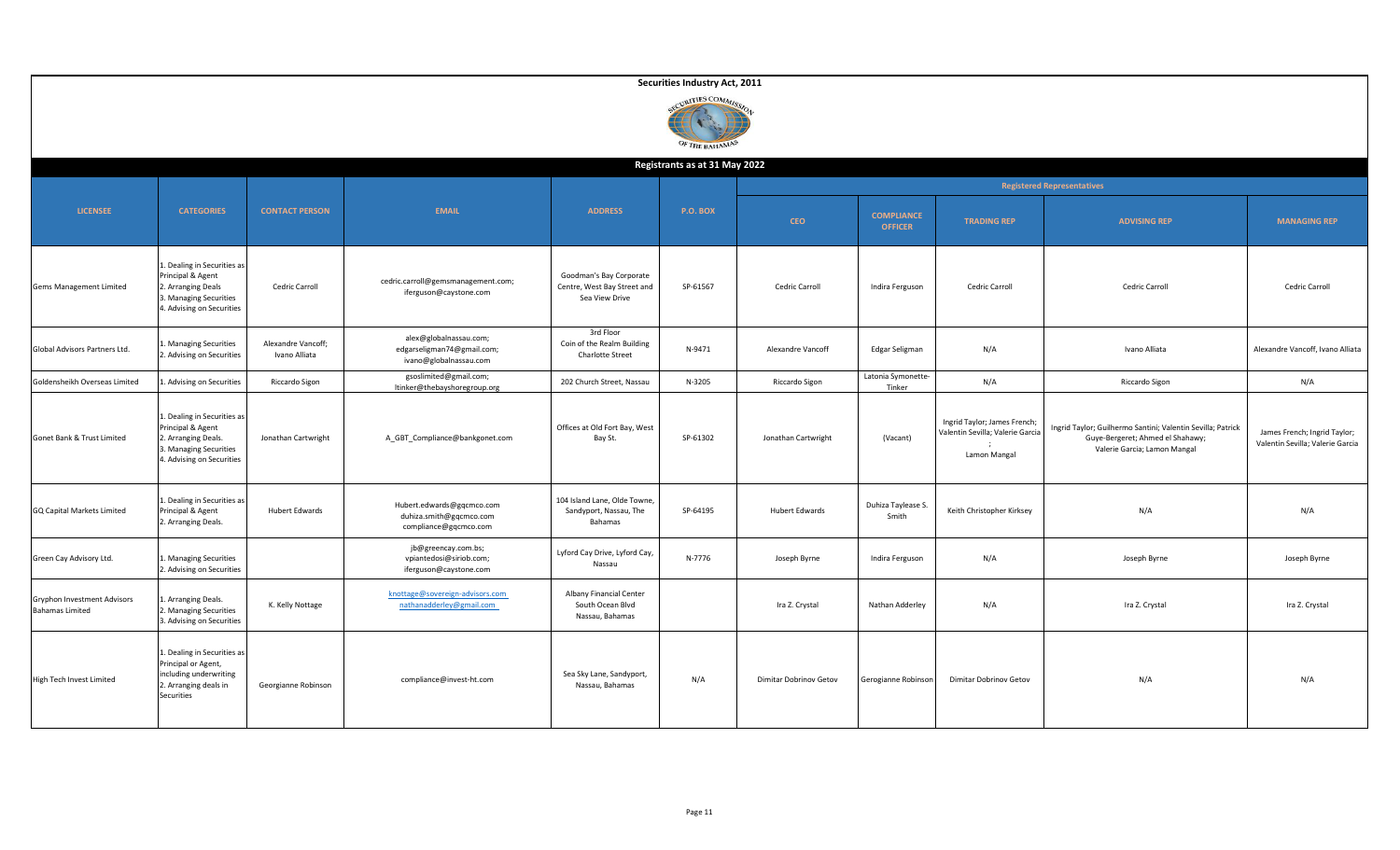|                                                |                                                                                                                                |                                     |                                                                                |                                                                          | Securities Industry Act, 2011<br>CURITIES COMMISS<br>OF THE BAHAMAS |                        |                                     |                                                                                 |                                                                                                                                 |                                                                  |
|------------------------------------------------|--------------------------------------------------------------------------------------------------------------------------------|-------------------------------------|--------------------------------------------------------------------------------|--------------------------------------------------------------------------|---------------------------------------------------------------------|------------------------|-------------------------------------|---------------------------------------------------------------------------------|---------------------------------------------------------------------------------------------------------------------------------|------------------------------------------------------------------|
|                                                |                                                                                                                                |                                     |                                                                                |                                                                          | Registrants as at 31 May 2022                                       |                        |                                     |                                                                                 |                                                                                                                                 |                                                                  |
|                                                |                                                                                                                                |                                     |                                                                                |                                                                          |                                                                     |                        |                                     |                                                                                 | <b>Registered Representatives</b>                                                                                               |                                                                  |
| <b>LICENSEE</b>                                | <b>CATEGORIES</b>                                                                                                              | <b>CONTACT PERSON</b>               | <b>EMAIL</b>                                                                   | <b>ADDRESS</b>                                                           | <b>P.O. BOX</b>                                                     | <b>CEO</b>             | <b>COMPLIANCE</b><br><b>OFFICER</b> | <b>TRADING REP</b>                                                              | <b>ADVISING REP</b>                                                                                                             | <b>MANAGING REP</b>                                              |
| Gems Management Limited                        | 1. Dealing in Securities as<br>Principal & Agent<br>2. Arranging Deals<br>3. Managing Securities<br>4. Advising on Securities  | Cedric Carroll                      | cedric.carroll@gemsmanagement.com;<br>iferguson@caystone.com                   | Goodman's Bay Corporate<br>Centre, West Bay Street and<br>Sea View Drive | SP-61567                                                            | Cedric Carroll         | Indira Ferguson                     | Cedric Carroll                                                                  | Cedric Carroll                                                                                                                  | Cedric Carroll                                                   |
| Global Advisors Partners Ltd.                  | 1. Managing Securities<br>2. Advising on Securities                                                                            | Alexandre Vancoff;<br>Ivano Alliata | alex@globalnassau.com;<br>edgarseligman74@gmail.com;<br>ivano@globalnassau.com | 3rd Floor<br>Coin of the Realm Building<br><b>Charlotte Street</b>       | N-9471                                                              | Alexandre Vancoff      | Edgar Seligman                      | N/A                                                                             | Ivano Alliata                                                                                                                   | Alexandre Vancoff, Ivano Alliata                                 |
| Goldensheikh Overseas Limited                  | Advising on Securities                                                                                                         | Riccardo Sigon                      | gsoslimited@gmail.com;<br>ltinker@thebayshoregroup.org                         | 202 Church Street, Nassau                                                | N-3205                                                              | Riccardo Sigon         | Latonia Symonette-<br>Tinker        | N/A                                                                             | Riccardo Sigon                                                                                                                  | N/A                                                              |
| Gonet Bank & Trust Limited                     | 1. Dealing in Securities as<br>Principal & Agent<br>2. Arranging Deals.<br>3. Managing Securities<br>4. Advising on Securities | Jonathan Cartwright                 | A_GBT_Compliance@bankgonet.com                                                 | Offices at Old Fort Bay, West<br>Bay St.                                 | SP-61302                                                            | Jonathan Cartwright    | (Vacant)                            | Ingrid Taylor; James French<br>Valentin Sevilla; Valerie Garcia<br>Lamon Mangal | Ingrid Taylor; Guilhermo Santini; Valentin Sevilla; Patrick<br>Guye-Bergeret; Ahmed el Shahawy;<br>Valerie Garcia; Lamon Mangal | James French; Ingrid Taylor;<br>Valentin Sevilla; Valerie Garcia |
| GQ Capital Markets Limited                     | 1. Dealing in Securities as<br>Principal & Agent<br>2. Arranging Deals.                                                        | <b>Hubert Edwards</b>               | Hubert.edwards@gqcmco.com<br>duhiza.smith@gqcmco.com<br>compliance@gqcmco.com  | 104 Island Lane, Olde Towne,<br>Sandyport, Nassau, The<br>Bahamas        | SP-64195                                                            | <b>Hubert Edwards</b>  | Duhiza Taylease S.<br>Smith         | Keith Christopher Kirksey                                                       | N/A                                                                                                                             | N/A                                                              |
| Green Cay Advisory Ltd.                        | 1. Managing Securities<br>2. Advising on Securities                                                                            |                                     | jb@greencay.com.bs;<br>vpiantedosi@siriob.com;<br>iferguson@caystone.com       | Lyford Cay Drive, Lyford Cay,<br>Nassau                                  | N-7776                                                              | Joseph Byrne           | Indira Ferguson                     | N/A                                                                             | Joseph Byrne                                                                                                                    | Joseph Byrne                                                     |
| Gryphon Investment Advisors<br>Bahamas Limited | 1. Arranging Deals.<br>2. Managing Securities<br>3. Advising on Securities                                                     | K. Kelly Nottage                    | knottage@sovereign-advisors.com<br>nathanadderley@gmail.com                    | Albany Financial Center<br>South Ocean Blvd<br>Nassau, Bahamas           |                                                                     | Ira Z. Crystal         | Nathan Adderley                     | N/A                                                                             | Ira Z. Crystal                                                                                                                  | Ira Z. Crystal                                                   |
| High Tech Invest Limited                       | 1. Dealing in Securities as<br>Principal or Agent,<br>including underwriting<br>2. Arranging deals in<br>Securities            | Georgianne Robinson                 | compliance@invest-ht.com                                                       | Sea Sky Lane, Sandyport,<br>Nassau, Bahamas                              | N/A                                                                 | Dimitar Dobrinov Getov | Gerogianne Robinson                 | Dimitar Dobrinov Getov                                                          | N/A                                                                                                                             | N/A                                                              |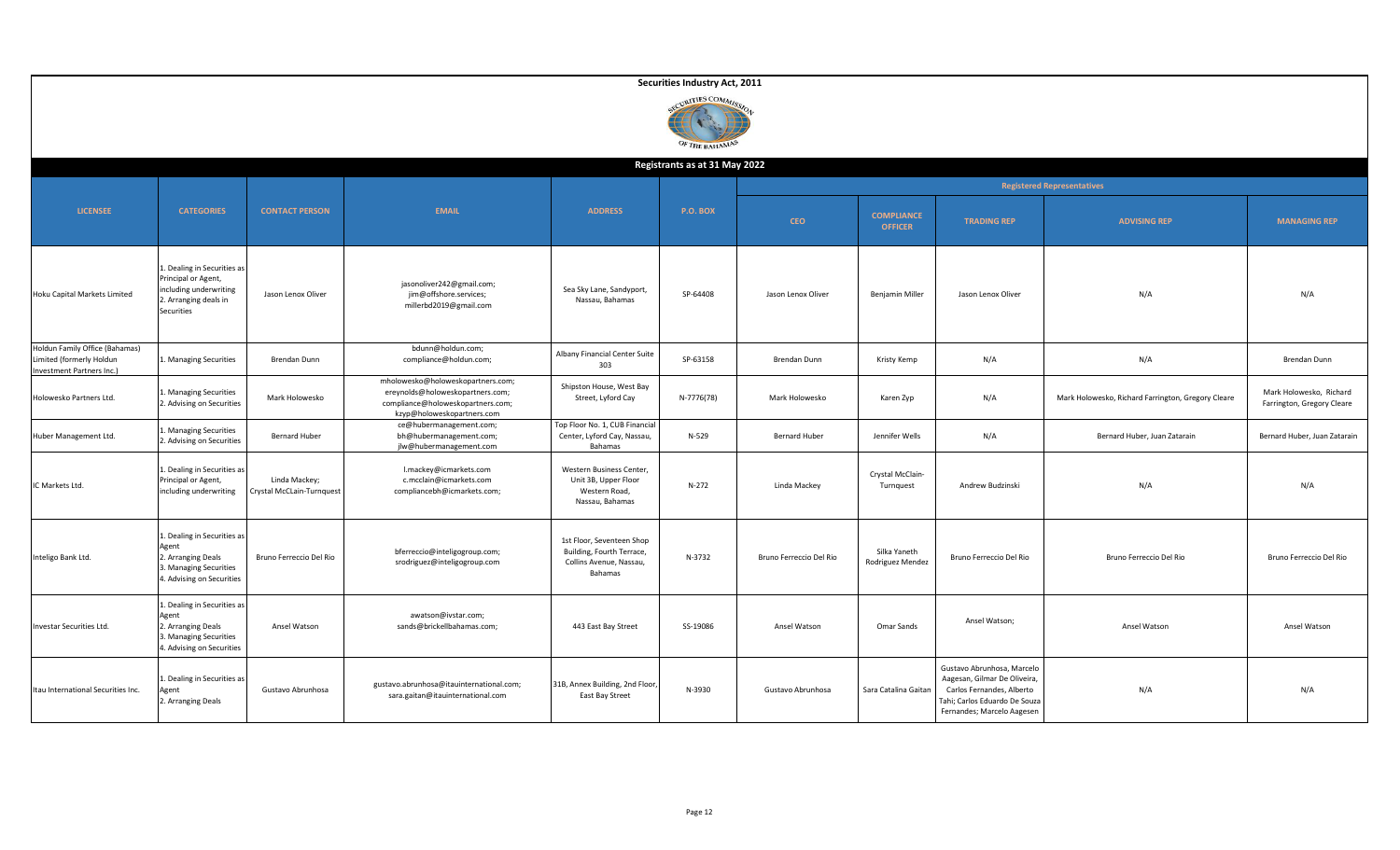|                                                                                         |                                                                                                                  |                                            |                                                                                                                                          |                                                                                              | Securities Industry Act, 2011    |                         |                                     |                                                                                                                                                       |                                                    |                                                       |
|-----------------------------------------------------------------------------------------|------------------------------------------------------------------------------------------------------------------|--------------------------------------------|------------------------------------------------------------------------------------------------------------------------------------------|----------------------------------------------------------------------------------------------|----------------------------------|-------------------------|-------------------------------------|-------------------------------------------------------------------------------------------------------------------------------------------------------|----------------------------------------------------|-------------------------------------------------------|
|                                                                                         |                                                                                                                  |                                            |                                                                                                                                          |                                                                                              | IRITIES COMMIC<br>OF THE BAHAMAS |                         |                                     |                                                                                                                                                       |                                                    |                                                       |
|                                                                                         |                                                                                                                  |                                            |                                                                                                                                          |                                                                                              | Registrants as at 31 May 2022    |                         |                                     |                                                                                                                                                       |                                                    |                                                       |
|                                                                                         |                                                                                                                  |                                            |                                                                                                                                          |                                                                                              |                                  |                         |                                     |                                                                                                                                                       | <b>Registered Representatives</b>                  |                                                       |
| <b>LICENSEE</b>                                                                         | <b>CATEGORIES</b>                                                                                                | <b>CONTACT PERSON</b>                      | <b>EMAIL</b>                                                                                                                             | <b>ADDRESS</b>                                                                               | <b>P.O. BOX</b>                  | <b>CEO</b>              | <b>COMPLIANCE</b><br><b>OFFICER</b> | <b>TRADING REP</b>                                                                                                                                    | <b>ADVISING REP</b>                                | <b>MANAGING REP</b>                                   |
| Hoku Capital Markets Limited                                                            | Dealing in Securities as<br>Principal or Agent,<br>including underwriting<br>2. Arranging deals in<br>Securities | Jason Lenox Oliver                         | jasonoliver242@gmail.com;<br>jim@offshore.services;<br>millerbd2019@gmail.com                                                            | Sea Sky Lane, Sandyport,<br>Nassau, Bahamas                                                  | SP-64408                         | Jason Lenox Oliver      | Benjamin Miller                     | Jason Lenox Oliver                                                                                                                                    | N/A                                                | N/A                                                   |
| Holdun Family Office (Bahamas)<br>Limited (formerly Holdun<br>Investment Partners Inc.) | L. Managing Securities                                                                                           | Brendan Dunn                               | bdunn@holdun.com;<br>compliance@holdun.com;                                                                                              | Albany Financial Center Suite<br>303                                                         | SP-63158                         | Brendan Dunn            | Kristy Kemp                         | N/A                                                                                                                                                   | N/A                                                | Brendan Dunn                                          |
| Holowesko Partners Ltd.                                                                 | . Managing Securities<br>2. Advising on Securities                                                               | Mark Holowesko                             | mholowesko@holoweskopartners.com;<br>ereynolds@holoweskopartners.com;<br>compliance@holoweskopartners.com;<br>kzyp@holoweskopartners.com | Shipston House, West Bay<br>Street, Lyford Cay                                               | N-7776(78)                       | Mark Holowesko          | Karen Zyp                           | N/A                                                                                                                                                   | Mark Holowesko, Richard Farrington, Gregory Cleare | Mark Holowesko, Richard<br>Farrington, Gregory Cleare |
| Huber Management Ltd.                                                                   | <b>Managing Securities</b><br>. Advising on Securities                                                           | <b>Bernard Huber</b>                       | ce@hubermanagement.com;<br>bh@hubermanagement.com;<br>jlw@hubermanagement.com                                                            | Top Floor No. 1, CUB Financial<br>Center, Lyford Cay, Nassau,<br>Bahamas                     | N-529                            | <b>Bernard Huber</b>    | Jennifer Wells                      | N/A                                                                                                                                                   | Bernard Huber, Juan Zatarain                       | Bernard Huber, Juan Zatarain                          |
| C Markets Ltd.                                                                          | 1. Dealing in Securities as<br>Principal or Agent<br>including underwriting                                      | Linda Mackey;<br>Crystal McCLain-Turnquest | l.mackey@icmarkets.com<br>c.mcclain@icmarkets.com<br>compliancebh@icmarkets.com;                                                         | Western Business Center,<br>Unit 3B, Upper Floor<br>Western Road,<br>Nassau, Bahamas         | N-272                            | Linda Mackey            | Crystal McClain-<br>Turnquest       | Andrew Budzinski                                                                                                                                      | N/A                                                | N/A                                                   |
| Inteligo Bank Ltd.                                                                      | 1. Dealing in Securities as<br>Agent<br>2. Arranging Deals<br>. Managing Securities<br>4. Advising on Securities | Bruno Ferreccio Del Rio                    | bferreccio@inteligogroup.com;<br>srodriguez@inteligogroup.com                                                                            | 1st Floor, Seventeen Shop<br>Building, Fourth Terrace,<br>Collins Avenue, Nassau,<br>Bahamas | N-3732                           | Bruno Ferreccio Del Rio | Silka Yaneth<br>Rodriguez Mendez    | Bruno Ferreccio Del Rio                                                                                                                               | Bruno Ferreccio Del Rio                            | Bruno Ferreccio Del Rio                               |
| Investar Securities Ltd.                                                                | L. Dealing in Securities as<br>Agent<br>2. Arranging Deals<br>. Managing Securities<br>1. Advising on Securities | Ansel Watson                               | awatson@ivstar.com;<br>sands@brickellbahamas.com;                                                                                        | 443 East Bay Street                                                                          | SS-19086                         | Ansel Watson            | Omar Sands                          | Ansel Watson;                                                                                                                                         | Ansel Watson                                       | Ansel Watson                                          |
| Itau International Securities Inc.                                                      | 1. Dealing in Securities as<br>2. Arranging Deals                                                                | Gustavo Abrunhosa                          | gustavo.abrunhosa@itauinternational.com;<br>sara.gaitan@itauinternational.com                                                            | 31B, Annex Building, 2nd Floor<br>East Bay Street                                            | N-3930                           | Gustavo Abrunhosa       | Sara Catalina Gaitan                | Gustavo Abrunhosa, Marcelo<br>Aagesan, Gilmar De Oliveira<br>Carlos Fernandes, Alberto<br>Tahi; Carlos Eduardo De Souza<br>Fernandes; Marcelo Aagesen | N/A                                                | N/A                                                   |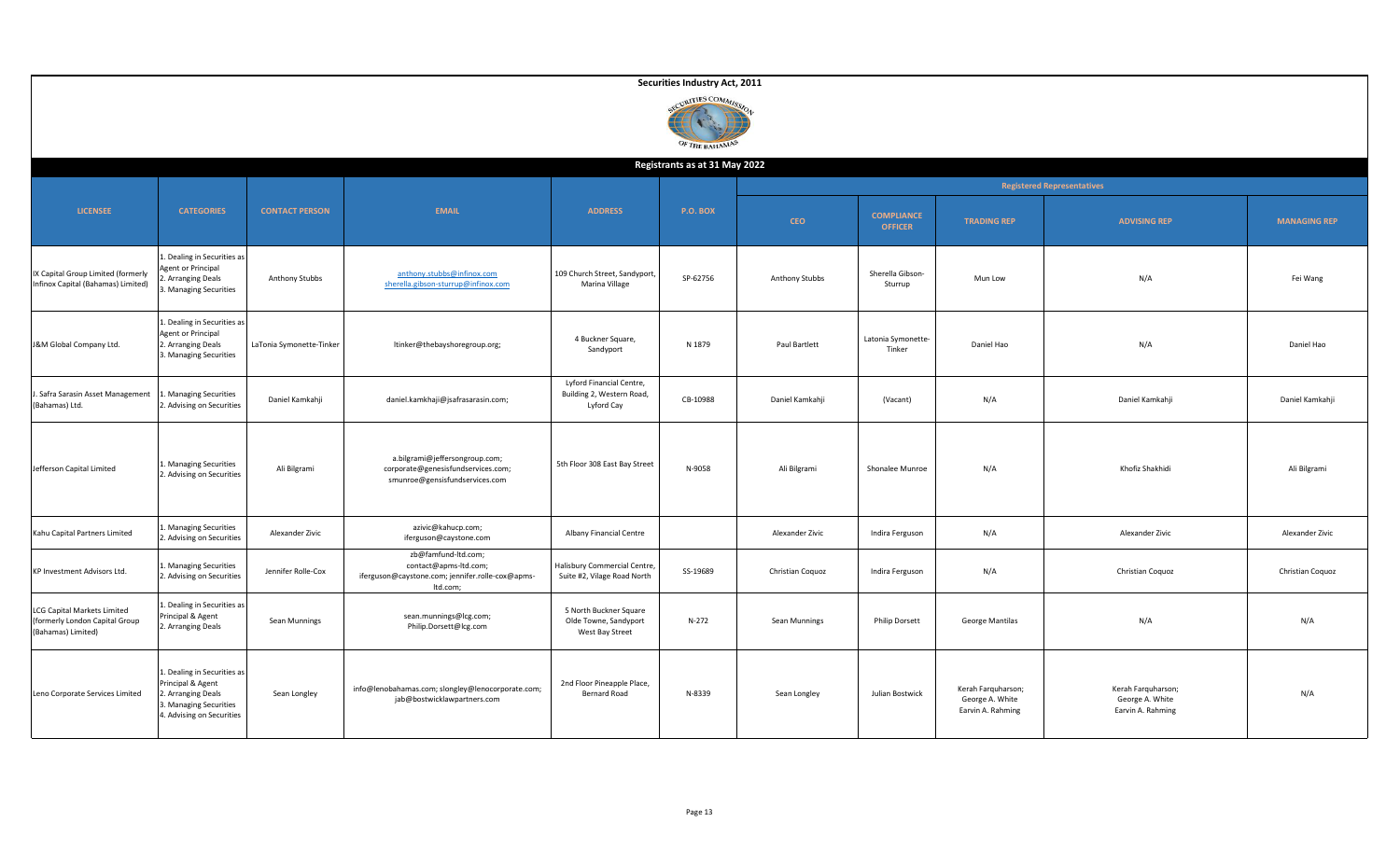|                                                                                    | Securities Industry Act, 2011<br>ECURITIES COMMIS<br>OF THE BAHAMAS                                                       |                          |                                                                                                              |                                                                     |                 |                  |                                     |                                                            |                                                            |                     |  |  |  |
|------------------------------------------------------------------------------------|---------------------------------------------------------------------------------------------------------------------------|--------------------------|--------------------------------------------------------------------------------------------------------------|---------------------------------------------------------------------|-----------------|------------------|-------------------------------------|------------------------------------------------------------|------------------------------------------------------------|---------------------|--|--|--|
|                                                                                    | Registrants as at 31 May 2022                                                                                             |                          |                                                                                                              |                                                                     |                 |                  |                                     |                                                            |                                                            |                     |  |  |  |
|                                                                                    |                                                                                                                           |                          |                                                                                                              |                                                                     |                 |                  | <b>Registered Representatives</b>   |                                                            |                                                            |                     |  |  |  |
| <b>LICENSEE</b>                                                                    | <b>CATEGORIES</b>                                                                                                         | <b>CONTACT PERSON</b>    | <b>EMAIL</b>                                                                                                 | <b>ADDRESS</b>                                                      | <b>P.O. BOX</b> | <b>CEO</b>       | <b>COMPLIANCE</b><br><b>OFFICER</b> | <b>TRADING REP</b>                                         | <b>ADVISING REP</b>                                        | <b>MANAGING REP</b> |  |  |  |
| IX Capital Group Limited (formerly<br>Infinox Capital (Bahamas) Limited)           | . Dealing in Securities as<br>Agent or Principal<br><b>Arranging Deals</b><br>. Managing Securities                       | Anthony Stubbs           | anthony.stubbs@infinox.com<br>sherella.gibson-sturrup@infinox.com                                            | 109 Church Street, Sandyport,<br>Marina Village                     | SP-62756        | Anthony Stubbs   | Sherella Gibson-<br>Sturrup         | Mun Low                                                    | N/A                                                        | Fei Wang            |  |  |  |
| J&M Global Company Ltd.                                                            | 1. Dealing in Securities as<br><b>Agent or Principal</b><br>2. Arranging Deals<br>. Managing Securities                   | LaTonia Symonette-Tinker | ltinker@thebayshoregroup.org;                                                                                | 4 Buckner Square,<br>Sandyport                                      | N 1879          | Paul Bartlett    | Latonia Symonette-<br>Tinker        | Daniel Hao                                                 | N/A                                                        | Daniel Hao          |  |  |  |
| Safra Sarasin Asset Management<br>(Bahamas) Ltd.                                   | . Managing Securities<br>2. Advising on Securities                                                                        | Daniel Kamkahji          | daniel.kamkhaji@jsafrasarasin.com;                                                                           | Lyford Financial Centre,<br>Building 2, Western Road,<br>Lyford Cay | CB-10988        | Daniel Kamkahji  | (Vacant)                            | N/A                                                        | Daniel Kamkahji                                            | Daniel Kamkahji     |  |  |  |
| Jefferson Capital Limited                                                          | . Managing Securities<br>2. Advising on Securities                                                                        | Ali Bilgrami             | a.bilgrami@jeffersongroup.com;<br>corporate@genesisfundservices.com;<br>smunroe@gensisfundservices.com       | 5th Floor 308 East Bay Street                                       | N-9058          | Ali Bilgrami     | Shonalee Munroe                     | N/A                                                        | Khofiz Shakhidi                                            | Ali Bilgrami        |  |  |  |
| Kahu Capital Partners Limited                                                      | . Managing Securities<br>. Advising on Securities                                                                         | Alexander Zivic          | azivic@kahucp.com;<br>iferguson@caystone.com                                                                 | Albany Financial Centre                                             |                 | Alexander Zivic  | Indira Ferguson                     | N/A                                                        | Alexander Zivic                                            | Alexander Zivic     |  |  |  |
| KP Investment Advisors Ltd.                                                        | . Managing Securities<br>2. Advising on Securities                                                                        | Jennifer Rolle-Cox       | zb@famfund-ltd.com;<br>contact@apms-ltd.com;<br>iferguson@caystone.com; jennifer.rolle-cox@apms-<br>Itd.com; | Halisbury Commercial Centre,<br>Suite #2, Vilage Road North         | SS-19689        | Christian Coquoz | Indira Ferguson                     | N/A                                                        | Christian Coquoz                                           | Christian Coquoz    |  |  |  |
| LCG Capital Markets Limited<br>formerly London Capital Group<br>(Bahamas) Limited) | 1. Dealing in Securities as<br>Principal & Agent<br>2. Arranging Deals                                                    | Sean Munnings            | sean.munnings@lcg.com;<br>Philip.Dorsett@lcg.com                                                             | 5 North Buckner Square<br>Olde Towne, Sandyport<br>West Bay Street  | $N-272$         | Sean Munnings    | <b>Philip Dorsett</b>               | George Mantilas                                            | N/A                                                        | N/A                 |  |  |  |
| Leno Corporate Services Limited                                                    | 1. Dealing in Securities as<br>rincipal & Agent<br>Arranging Deals<br>3. Managing Securities<br>4. Advising on Securities | Sean Longley             | info@lenobahamas.com; slongley@lenocorporate.com;<br>jab@bostwicklawpartners.com                             | 2nd Floor Pineapple Place,<br><b>Bernard Road</b>                   | N-8339          | Sean Longley     | Julian Bostwick                     | Kerah Farquharson;<br>George A. White<br>Earvin A. Rahming | Kerah Farquharson;<br>George A. White<br>Earvin A. Rahming | N/A                 |  |  |  |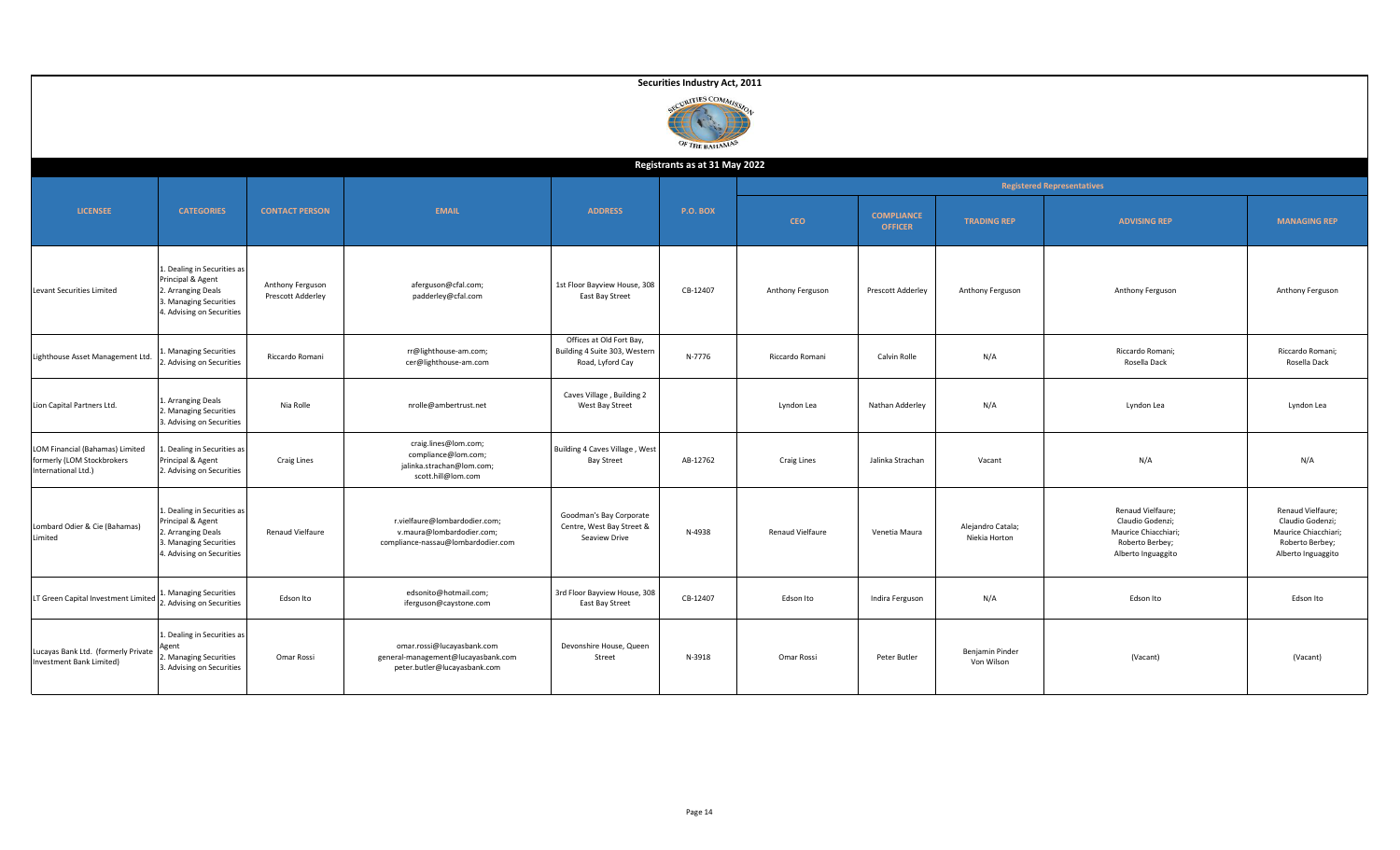|                                                                                      |                                                                                                                               |                                       |                                                                                                  |                                                                               | Securities Industry Act, 2011 |                  |                                     |                                    |                                                                                                        |                                                                                                        |  |  |  |  |
|--------------------------------------------------------------------------------------|-------------------------------------------------------------------------------------------------------------------------------|---------------------------------------|--------------------------------------------------------------------------------------------------|-------------------------------------------------------------------------------|-------------------------------|------------------|-------------------------------------|------------------------------------|--------------------------------------------------------------------------------------------------------|--------------------------------------------------------------------------------------------------------|--|--|--|--|
|                                                                                      | VIRITIES COMMISS<br>OF THE BAHAMAS                                                                                            |                                       |                                                                                                  |                                                                               |                               |                  |                                     |                                    |                                                                                                        |                                                                                                        |  |  |  |  |
| Registrants as at 31 May 2022                                                        |                                                                                                                               |                                       |                                                                                                  |                                                                               |                               |                  |                                     |                                    |                                                                                                        |                                                                                                        |  |  |  |  |
| <b>LICENSEE</b>                                                                      | <b>CATEGORIES</b>                                                                                                             | <b>CONTACT PERSON</b>                 | <b>EMAIL</b>                                                                                     | <b>ADDRESS</b>                                                                | <b>P.O. BOX</b>               | <b>CEO</b>       | <b>COMPLIANCE</b><br><b>OFFICER</b> | <b>TRADING REP</b>                 | <b>Registered Representatives</b><br><b>ADVISING REP</b>                                               | <b>MANAGING REP</b>                                                                                    |  |  |  |  |
| Levant Securities Limited                                                            | 1. Dealing in Securities as<br>Principal & Agent<br>2. Arranging Deals<br>3. Managing Securities<br>4. Advising on Securities | Anthony Ferguson<br>Prescott Adderley | aferguson@cfal.com;<br>padderley@cfal.com                                                        | 1st Floor Bayview House, 308<br>East Bay Street                               | CB-12407                      | Anthony Ferguson | Prescott Adderley                   | Anthony Ferguson                   | Anthony Ferguson                                                                                       | Anthony Ferguson                                                                                       |  |  |  |  |
| Lighthouse Asset Management Ltd.                                                     | . Managing Securities<br>. Advising on Securities                                                                             | Riccardo Romani                       | rr@lighthouse-am.com;<br>cer@lighthouse-am.com                                                   | Offices at Old Fort Bay,<br>Building 4 Suite 303, Western<br>Road, Lyford Cay | N-7776                        | Riccardo Romani  | Calvin Rolle                        | N/A                                | Riccardo Romani;<br>Rosella Dack                                                                       | Riccardo Romani;<br>Rosella Dack                                                                       |  |  |  |  |
| Lion Capital Partners Ltd.                                                           | . Arranging Deals<br>2. Managing Securities<br>3. Advising on Securities                                                      | Nia Rolle                             | nrolle@ambertrust.net                                                                            | Caves Village, Building 2<br>West Bay Street                                  |                               | Lyndon Lea       | Nathan Adderley                     | N/A                                | Lyndon Lea                                                                                             | Lyndon Lea                                                                                             |  |  |  |  |
| LOM Financial (Bahamas) Limited<br>formerly (LOM Stockbrokers<br>International Ltd.) | I. Dealing in Securities as<br>Principal & Agent<br>2. Advising on Securities                                                 | <b>Craig Lines</b>                    | craig.lines@lom.com;<br>compliance@lom.com;<br>jalinka.strachan@lom.com;<br>scott.hill@lom.com   | Building 4 Caves Village, West<br><b>Bay Street</b>                           | AB-12762                      | Craig Lines      | Jalinka Strachan                    | Vacant                             | N/A                                                                                                    | N/A                                                                                                    |  |  |  |  |
| Lombard Odier & Cie (Bahamas)<br>Limited                                             | 1. Dealing in Securities as<br>Principal & Agent<br>2. Arranging Deals<br>3. Managing Securities<br>4. Advising on Securities | Renaud Vielfaure                      | r.vielfaure@lombardodier.com;<br>v.maura@lombardodier.com;<br>compliance-nassau@lombardodier.com | Goodman's Bay Corporate<br>Centre, West Bay Street &<br>Seaview Drive         | N-4938                        | Renaud Vielfaure | Venetia Maura                       | Alejandro Catala;<br>Niekia Horton | Renaud Vielfaure;<br>Claudio Godenzi;<br>Maurice Chiacchiari;<br>Roberto Berbey;<br>Alberto Inguaggito | Renaud Vielfaure;<br>Claudio Godenzi;<br>Maurice Chiacchiari;<br>Roberto Berbey;<br>Alberto Inguaggito |  |  |  |  |
| LT Green Capital Investment Limited                                                  | . Managing Securities<br>2. Advising on Securities                                                                            | Edson Ito                             | edsonito@hotmail.com;<br>iferguson@caystone.com                                                  | 3rd Floor Bayview House, 308<br>East Bay Street                               | CB-12407                      | Edson Ito        | Indira Ferguson                     | N/A                                | Edson Ito                                                                                              | Edson Ito                                                                                              |  |  |  |  |
| Lucayas Bank Ltd. (formerly Private<br>Investment Bank Limited)                      | 1. Dealing in Securities as<br>eent<br>. Managing Securities<br>3. Advising on Securities                                     | Omar Rossi                            | omar.rossi@lucayasbank.com<br>general-management@lucayasbank.com<br>peter.butler@lucayasbank.com | Devonshire House, Queen<br>Street                                             | N-3918                        | Omar Rossi       | Peter Butler                        | Benjamin Pinder<br>Von Wilson      | (Vacant)                                                                                               | (Vacant)                                                                                               |  |  |  |  |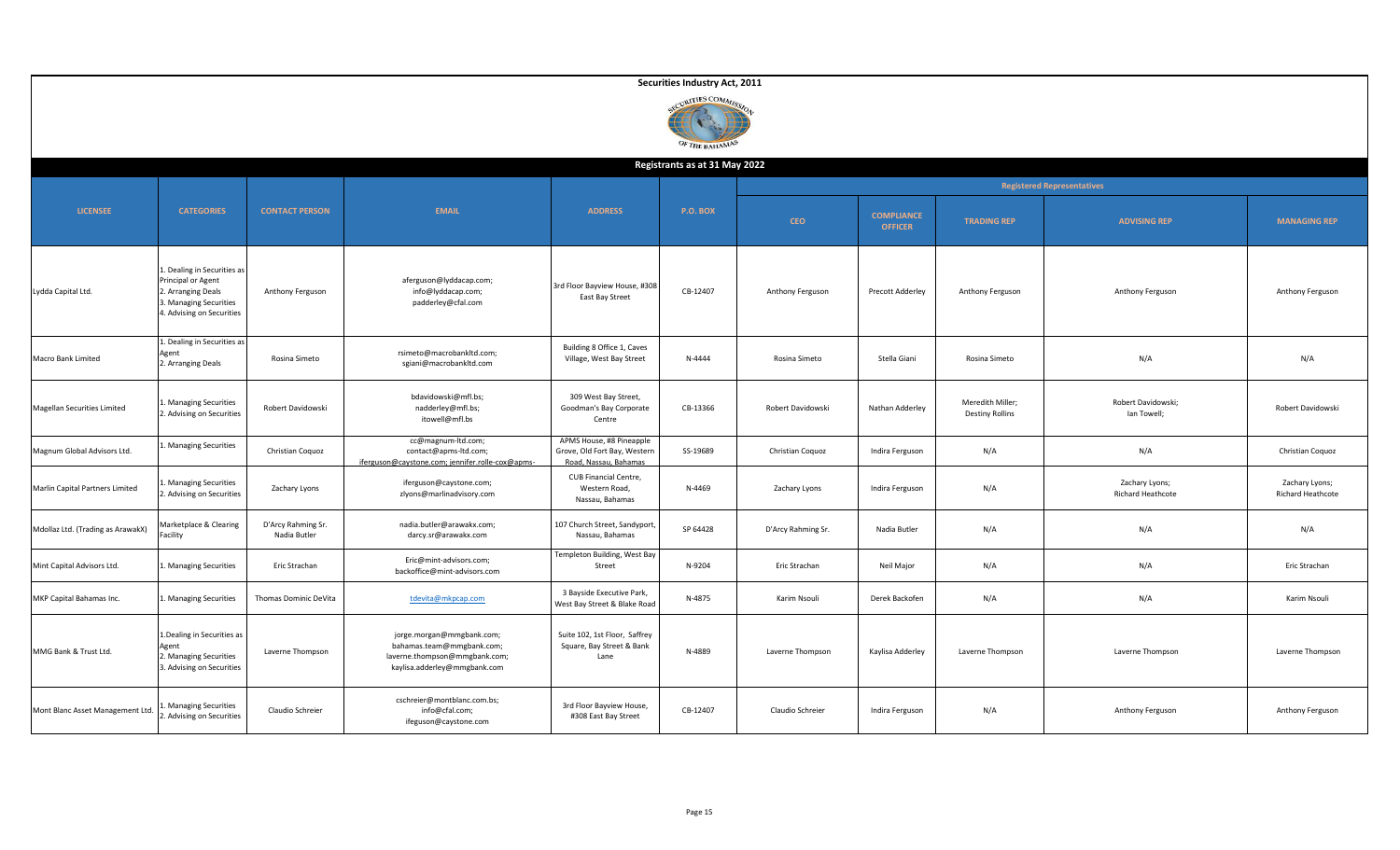|                                   | Securities Industry Act, 2011                                                                                                  |                                    |                                                                                                                         |                                                                                   |                               |                    |                                     |                                            |                                     |                                     |  |  |  |  |
|-----------------------------------|--------------------------------------------------------------------------------------------------------------------------------|------------------------------------|-------------------------------------------------------------------------------------------------------------------------|-----------------------------------------------------------------------------------|-------------------------------|--------------------|-------------------------------------|--------------------------------------------|-------------------------------------|-------------------------------------|--|--|--|--|
|                                   | CURITIES COMMIS<br>OF THE BAHAMAS                                                                                              |                                    |                                                                                                                         |                                                                                   |                               |                    |                                     |                                            |                                     |                                     |  |  |  |  |
|                                   |                                                                                                                                |                                    |                                                                                                                         |                                                                                   | Registrants as at 31 May 2022 |                    |                                     |                                            |                                     |                                     |  |  |  |  |
|                                   |                                                                                                                                |                                    |                                                                                                                         |                                                                                   |                               |                    | <b>Registered Representatives</b>   |                                            |                                     |                                     |  |  |  |  |
| <b>LICENSEE</b>                   | <b>CATEGORIES</b>                                                                                                              | <b>CONTACT PERSON</b>              | <b>EMAIL</b>                                                                                                            | <b>ADDRESS</b>                                                                    | <b>P.O. BOX</b>               | <b>CEO</b>         | <b>COMPLIANCE</b><br><b>OFFICER</b> | <b>TRADING REP</b>                         | <b>ADVISING REP</b>                 | <b>MANAGING REP</b>                 |  |  |  |  |
| Lydda Capital Ltd.                | L. Dealing in Securities as<br>Principal or Agent<br>2. Arranging Deals<br>3. Managing Securities<br>4. Advising on Securities | Anthony Ferguson                   | aferguson@lyddacap.com;<br>info@lyddacap.com;<br>padderley@cfal.com                                                     | 3rd Floor Bayview House, #308<br>East Bay Street                                  | CB-12407                      | Anthony Ferguson   | Precott Adderley                    | Anthony Ferguson                           | Anthony Ferguson                    | Anthony Ferguson                    |  |  |  |  |
| Macro Bank Limited                | Dealing in Securities as<br>Agent<br>2. Arranging Deals                                                                        | Rosina Simeto                      | rsimeto@macrobankltd.com;<br>sgiani@macrobankltd.com                                                                    | Building 8 Office 1, Caves<br>Village, West Bay Street                            | N-4444                        | Rosina Simeto      | Stella Giani                        | Rosina Simeto                              | N/A                                 | N/A                                 |  |  |  |  |
| Magellan Securities Limited       | . Managing Securities<br>2. Advising on Securities                                                                             | Robert Davidowski                  | bdavidowski@mfl.bs;<br>nadderley@mfl.bs;<br>itowell@mfl.bs                                                              | 309 West Bay Street,<br>Goodman's Bay Corporate<br>Centre                         | CB-13366                      | Robert Davidowski  | Nathan Adderley                     | Meredith Miller;<br><b>Destiny Rollins</b> | Robert Davidowski;<br>lan Towell;   | Robert Davidowski                   |  |  |  |  |
| Magnum Global Advisors Ltd.       | Managing Securities                                                                                                            | Christian Coquoz                   | cc@magnum-ltd.com;<br>contact@apms-ltd.com;<br>iferguson@caystone.com; jennifer.rolle-cox@apms-                         | APMS House, #8 Pineapple<br>Grove, Old Fort Bay, Western<br>Road, Nassau, Bahamas | SS-19689                      | Christian Coquoz   | Indira Ferguson                     | N/A                                        | N/A                                 | Christian Coquoz                    |  |  |  |  |
| Marlin Capital Partners Limited   | . Managing Securities<br>2. Advising on Securities                                                                             | Zachary Lyons                      | iferguson@caystone.com;<br>zlyons@marlinadvisory.com                                                                    | CUB Financial Centre,<br>Western Road,<br>Nassau, Bahamas                         | N-4469                        | Zachary Lyons      | Indira Ferguson                     | N/A                                        | Zachary Lyons;<br>Richard Heathcote | Zachary Lyons;<br>Richard Heathcote |  |  |  |  |
| Mdollaz Ltd. (Trading as ArawakX) | Marketplace & Clearing<br>acility                                                                                              | D'Arcy Rahming Sr.<br>Nadia Butler | nadia.butler@arawakx.com;<br>darcy.sr@arawakx.com                                                                       | 107 Church Street, Sandyport<br>Nassau, Bahamas                                   | SP 64428                      | D'Arcy Rahming Sr. | Nadia Butler                        | N/A                                        | N/A                                 | N/A                                 |  |  |  |  |
| Mint Capital Advisors Ltd.        | Managing Securities                                                                                                            | Eric Strachan                      | Eric@mint-advisors.com;<br>backoffice@mint-advisors.com                                                                 | Templeton Building, West Bay<br>Street                                            | N-9204                        | Eric Strachan      | Neil Major                          | N/A                                        | N/A                                 | Eric Strachan                       |  |  |  |  |
| MKP Capital Bahamas Inc.          | Managing Securities                                                                                                            | Thomas Dominic DeVita              | tdevita@mkpcap.com                                                                                                      | 3 Bayside Executive Park,<br>West Bay Street & Blake Roac                         | N-4875                        | Karim Nsouli       | Derek Backofen                      | N/A                                        | N/A                                 | Karim Nsouli                        |  |  |  |  |
| MMG Bank & Trust Ltd.             | 1. Dealing in Securities as<br>Agent<br>2. Managing Securities<br>3. Advising on Securities                                    | Laverne Thompson                   | jorge.morgan@mmgbank.com;<br>bahamas.team@mmgbank.com;<br>laverne.thompson@mmgbank.com;<br>kaylisa.adderley@mmgbank.com | Suite 102, 1st Floor, Saffrey<br>Square, Bay Street & Bank<br>Lane                | N-4889                        | Laverne Thompson   | Kaylisa Adderley                    | Laverne Thompson                           | Laverne Thompson                    | Laverne Thompson                    |  |  |  |  |
| Mont Blanc Asset Management Ltd.  | <b>Managing Securities</b><br>. Advising on Securities                                                                         | Claudio Schreier                   | cschreier@montblanc.com.bs;<br>info@cfal.com;<br>ifeguson@caystone.com                                                  | 3rd Floor Bayview House,<br>#308 East Bay Street                                  | CB-12407                      | Claudio Schreier   | Indira Ferguson                     | N/A                                        | Anthony Ferguson                    | Anthony Ferguson                    |  |  |  |  |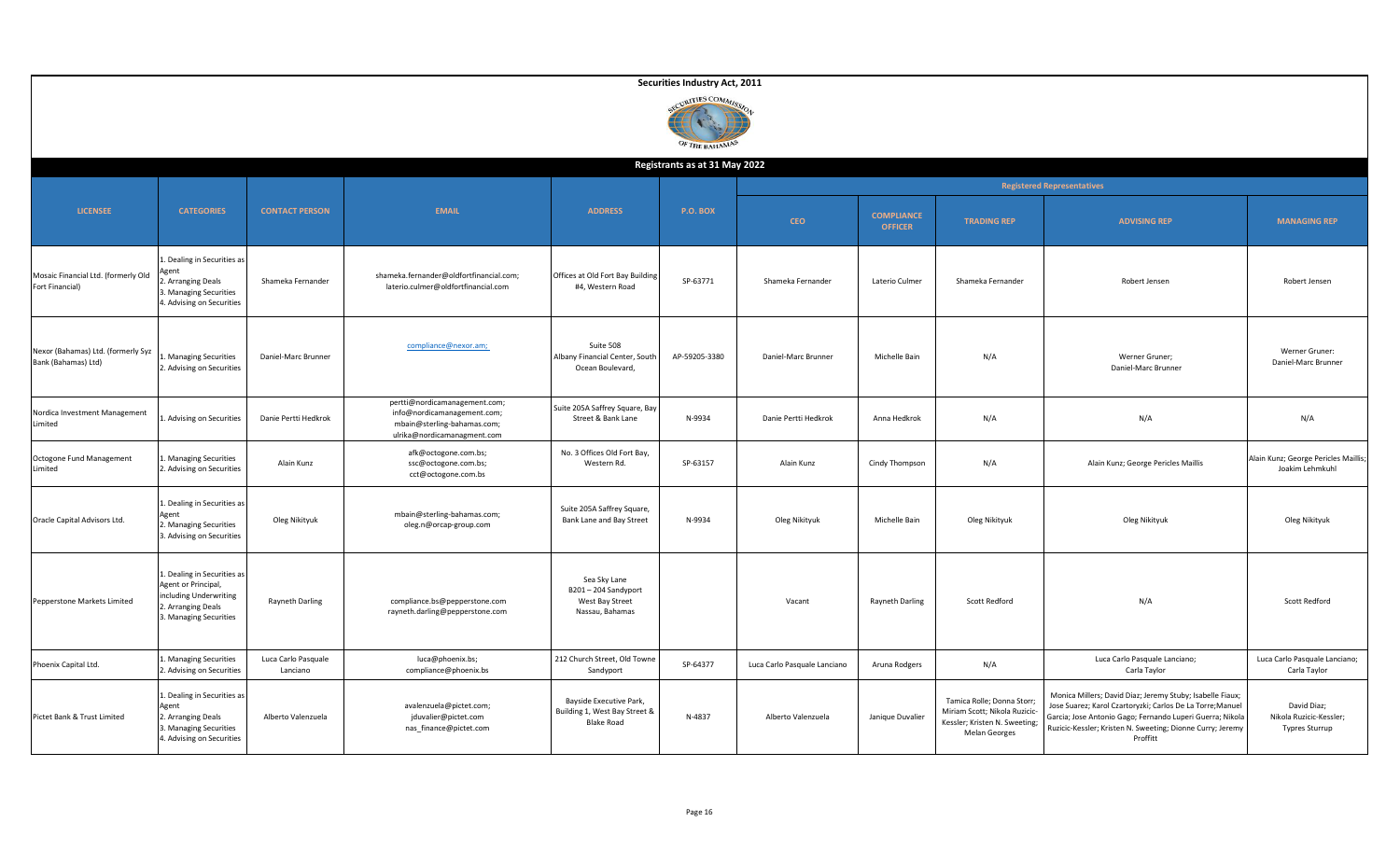|                                                           |                                                                                                                              |                                 |                                                                                                                            |                                                                               | Securities Industry Act, 2011     |                              |                                     |                                                                                                               |                                                                                                                                                                                                                                                                |                                                                 |  |
|-----------------------------------------------------------|------------------------------------------------------------------------------------------------------------------------------|---------------------------------|----------------------------------------------------------------------------------------------------------------------------|-------------------------------------------------------------------------------|-----------------------------------|------------------------------|-------------------------------------|---------------------------------------------------------------------------------------------------------------|----------------------------------------------------------------------------------------------------------------------------------------------------------------------------------------------------------------------------------------------------------------|-----------------------------------------------------------------|--|
|                                                           |                                                                                                                              |                                 |                                                                                                                            |                                                                               | CURITIES COMMIC<br>OF THE BAHAMAN |                              |                                     |                                                                                                               |                                                                                                                                                                                                                                                                |                                                                 |  |
|                                                           |                                                                                                                              |                                 |                                                                                                                            |                                                                               | Registrants as at 31 May 2022     |                              |                                     |                                                                                                               |                                                                                                                                                                                                                                                                |                                                                 |  |
|                                                           |                                                                                                                              |                                 |                                                                                                                            |                                                                               |                                   |                              | <b>Registered Representatives</b>   |                                                                                                               |                                                                                                                                                                                                                                                                |                                                                 |  |
| <b>LICENSEE</b>                                           | <b>CATEGORIES</b>                                                                                                            | <b>CONTACT PERSON</b>           | <b>EMAIL</b>                                                                                                               | <b>ADDRESS</b>                                                                | <b>P.O. BOX</b>                   | <b>CEO</b>                   | <b>COMPLIANCE</b><br><b>OFFICER</b> | <b>TRADING REP</b>                                                                                            | <b>ADVISING REP</b>                                                                                                                                                                                                                                            | <b>MANAGING REP</b>                                             |  |
| Mosaic Financial Ltd. (formerly Old<br>Fort Financial)    | . Dealing in Securities as<br><i><b>gent</b></i><br>. Arranging Deals<br>3. Managing Securities<br>4. Advising on Securities | Shameka Fernander               | shameka.fernander@oldfortfinancial.com;<br>laterio.culmer@oldfortfinancial.com                                             | Offices at Old Fort Bay Building<br>#4, Western Road                          | SP-63771                          | Shameka Fernander            | Laterio Culmer                      | Shameka Fernander                                                                                             | Robert Jensen                                                                                                                                                                                                                                                  | Robert Jensen                                                   |  |
| Nexor (Bahamas) Ltd. (formerly Syz<br>Bank (Bahamas) Ltd) | Managing Securities<br>2. Advising on Securities                                                                             | Daniel-Marc Brunner             | compliance@nexor.am;                                                                                                       | Suite 508<br>Albany Financial Center, South<br>Ocean Boulevard,               | AP-59205-3380                     | Daniel-Marc Brunner          | Michelle Bain                       | N/A                                                                                                           | Werner Gruner;<br>Daniel-Marc Brunner                                                                                                                                                                                                                          | Werner Gruner:<br>Daniel-Marc Brunner                           |  |
| Nordica Investment Management<br>Limited                  | . Advising on Securities                                                                                                     | Danie Pertti Hedkrok            | pertti@nordicamanagement.com;<br>info@nordicamanagement.com;<br>mbain@sterling-bahamas.com;<br>ulrika@nordicamanagment.com | Suite 205A Saffrey Square, Bay<br>Street & Bank Lane                          | N-9934                            | Danie Pertti Hedkrok         | Anna Hedkrok                        | N/A                                                                                                           | N/A                                                                                                                                                                                                                                                            | N/A                                                             |  |
| Octogone Fund Management<br><i>imited</i>                 | . Managing Securities<br>2. Advising on Securities                                                                           | Alain Kunz                      | afk@octogone.com.bs;<br>ssc@octogone.com.bs;<br>cct@octogone.com.bs                                                        | No. 3 Offices Old Fort Bay,<br>Western Rd.                                    | SP-63157                          | Alain Kunz                   | Cindy Thompson                      | N/A                                                                                                           | Alain Kunz; George Pericles Maillis                                                                                                                                                                                                                            | Alain Kunz; George Pericles Maillis;<br>Joakim Lehmkuhl         |  |
| Oracle Capital Advisors Ltd.                              | 1. Dealing in Securities as<br>Agent<br>2. Managing Securities<br>3. Advising on Securities                                  | Oleg Nikityuk                   | mbain@sterling-bahamas.com;<br>oleg.n@orcap-group.com                                                                      | Suite 205A Saffrey Square,<br>Bank Lane and Bay Street                        | N-9934                            | Oleg Nikityuk                | Michelle Bain                       | Oleg Nikityuk                                                                                                 | Oleg Nikityuk                                                                                                                                                                                                                                                  | Oleg Nikityuk                                                   |  |
| Pepperstone Markets Limited                               | 1. Dealing in Securities as<br>Agent or Principal,<br>including Underwriting<br>2. Arranging Deals<br>3. Managing Securities | Rayneth Darling                 | compliance.bs@pepperstone.com<br>rayneth.darling@pepperstone.com                                                           | Sea Sky Lane<br>B201-204 Sandyport<br>West Bay Street<br>Nassau, Bahamas      |                                   | Vacant                       | Rayneth Darling                     | <b>Scott Redford</b>                                                                                          | N/A                                                                                                                                                                                                                                                            | Scott Redford                                                   |  |
| Phoenix Capital Ltd.                                      | . Managing Securities<br>2. Advising on Securities                                                                           | Luca Carlo Pasquale<br>Lanciano | luca@phoenix.bs;<br>compliance@phoenix.bs                                                                                  | 212 Church Street, Old Towne<br>Sandyport                                     | SP-64377                          | Luca Carlo Pasquale Lanciano | Aruna Rodgers                       | N/A                                                                                                           | Luca Carlo Pasquale Lanciano;<br>Carla Taylor                                                                                                                                                                                                                  | Luca Carlo Pasquale Lanciano;<br>Carla Taylor                   |  |
| Pictet Bank & Trust Limited                               | Dealing in Securities as<br>Agent<br>2. Arranging Deals<br>3. Managing Securities<br>4. Advising on Securities               | Alberto Valenzuela              | avalenzuela@pictet.com;<br>jduvalier@pictet.com<br>nas_finance@pictet.com                                                  | Bayside Executive Park,<br>Building 1, West Bay Street &<br><b>Blake Road</b> | N-4837                            | Alberto Valenzuela           | Janique Duvalier                    | Tamica Rolle; Donna Storr;<br>Miriam Scott; Nikola Ruzicic-<br>Kessler; Kristen N. Sweeting;<br>Melan Georges | Monica Millers; David Diaz; Jeremy Stuby; Isabelle Fiaux;<br>Jose Suarez; Karol Czartoryzki; Carlos De La Torre; Manuel<br>Garcia; Jose Antonio Gago; Fernando Luperi Guerra; Nikola<br>Ruzicic-Kessler; Kristen N. Sweeting; Dionne Curry; Jeremy<br>Proffitt | David Diaz;<br>Nikola Ruzicic-Kessler;<br><b>Typres Sturrup</b> |  |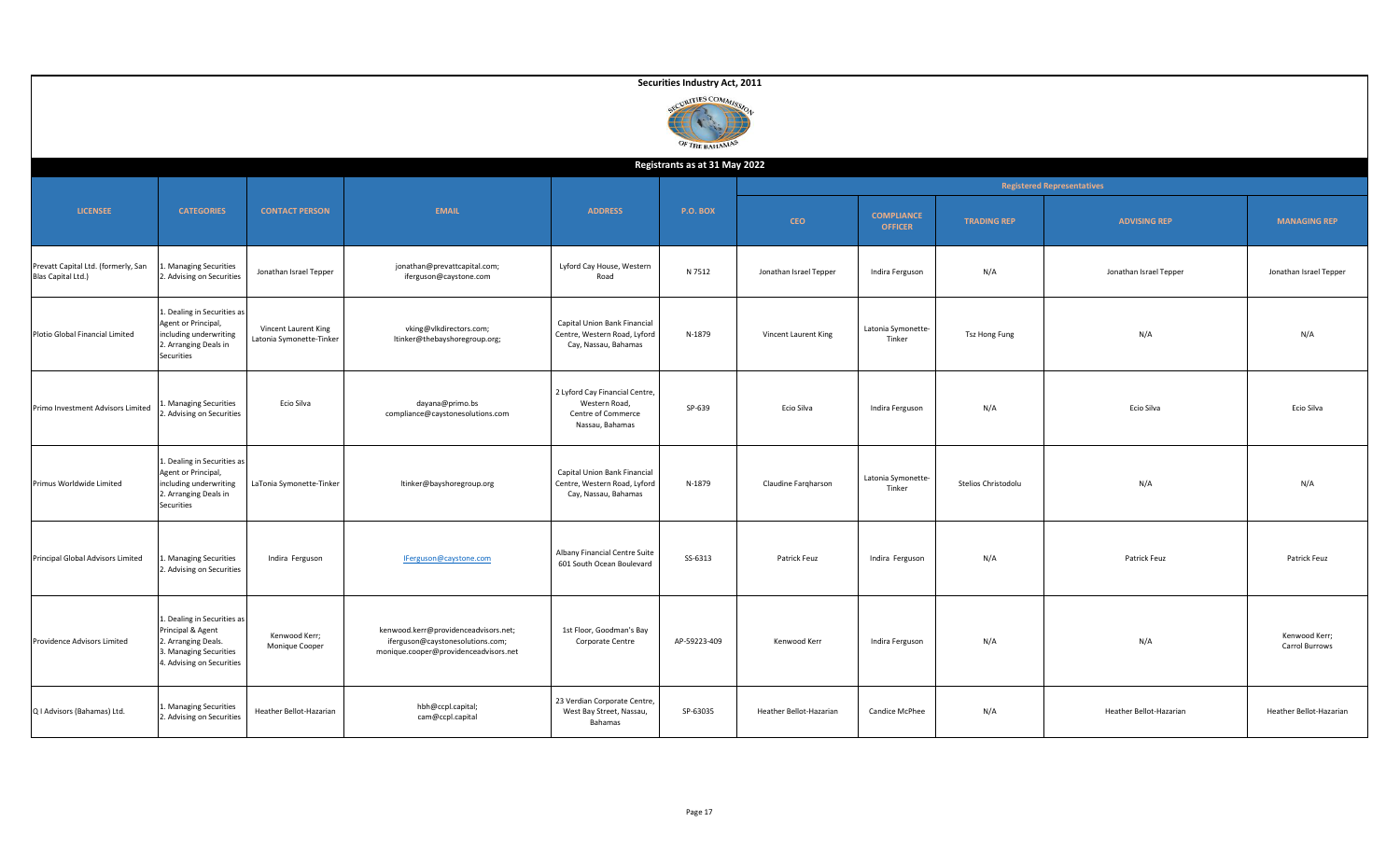|                                                           |                                                                                                                                |                                                  |                                                                                                                   |                                                                                          | Securities Industry Act, 2011 |                         |                                     |                     |                         |                                 |  |  |  |
|-----------------------------------------------------------|--------------------------------------------------------------------------------------------------------------------------------|--------------------------------------------------|-------------------------------------------------------------------------------------------------------------------|------------------------------------------------------------------------------------------|-------------------------------|-------------------------|-------------------------------------|---------------------|-------------------------|---------------------------------|--|--|--|
|                                                           | RITIES COMMIC<br>OF THE BAHAMAS                                                                                                |                                                  |                                                                                                                   |                                                                                          |                               |                         |                                     |                     |                         |                                 |  |  |  |
|                                                           |                                                                                                                                |                                                  |                                                                                                                   |                                                                                          | Registrants as at 31 May 2022 |                         |                                     |                     |                         |                                 |  |  |  |
|                                                           |                                                                                                                                |                                                  |                                                                                                                   |                                                                                          |                               |                         | <b>Registered Representatives</b>   |                     |                         |                                 |  |  |  |
| <b>LICENSEE</b>                                           | <b>CATEGORIES</b>                                                                                                              | <b>CONTACT PERSON</b>                            | <b>EMAIL</b>                                                                                                      | <b>ADDRESS</b>                                                                           | <b>P.O. BOX</b>               | <b>CEO</b>              | <b>COMPLIANCE</b><br><b>OFFICER</b> | <b>TRADING REP</b>  | <b>ADVISING REP</b>     | <b>MANAGING REP</b>             |  |  |  |
| Prevatt Capital Ltd. (formerly, San<br>Blas Capital Ltd.) | <b>Managing Securities</b><br>2. Advising on Securities                                                                        | Jonathan Israel Tepper                           | jonathan@prevattcapital.com;<br>iferguson@caystone.com                                                            | Lyford Cay House, Western<br>Road                                                        | N 7512                        | Jonathan Israel Tepper  | Indira Ferguson                     | N/A                 | Jonathan Israel Tepper  | Jonathan Israel Tepper          |  |  |  |
| Plotio Global Financial Limited                           | 1. Dealing in Securities as<br>Agent or Principal,<br>including underwriting<br>2. Arranging Deals in<br>Securities            | Vincent Laurent King<br>Latonia Symonette-Tinker | vking@vlkdirectors.com;<br>ltinker@thebayshoregroup.org;                                                          | Capital Union Bank Financial<br>Centre, Western Road, Lyford<br>Cay, Nassau, Bahamas     | N-1879                        | Vincent Laurent King    | Latonia Symonette-<br>Tinker        | Tsz Hong Fung       | N/A                     | N/A                             |  |  |  |
| Primo Investment Advisors Limited                         | <b>Managing Securities</b><br>. Advising on Securities                                                                         | Ecio Silva                                       | dayana@primo.bs<br>compliance@caystonesolutions.com                                                               | 2 Lyford Cay Financial Centre,<br>Western Road,<br>Centre of Commerce<br>Nassau, Bahamas | SP-639                        | Ecio Silva              | Indira Ferguson                     | N/A                 | Ecio Silva              | Ecio Silva                      |  |  |  |
| Primus Worldwide Limited                                  | 1. Dealing in Securities as<br>Agent or Principal,<br>including underwriting<br>2. Arranging Deals in<br>Securities            | LaTonia Symonette-Tinker                         | ltinker@bayshoregroup.org                                                                                         | Capital Union Bank Financial<br>Centre, Western Road, Lyford<br>Cay, Nassau, Bahamas     | N-1879                        | Claudine Farqharson     | Latonia Symonette-<br>Tinker        | Stelios Christodolu | N/A                     | N/A                             |  |  |  |
| Principal Global Advisors Limited                         | . Managing Securities<br>2. Advising on Securities                                                                             | Indira Ferguson                                  | IFerguson@caystone.com                                                                                            | Albany Financial Centre Suite<br>601 South Ocean Boulevard                               | SS-6313                       | Patrick Feuz            | Indira Ferguson                     | N/A                 | Patrick Feuz            | Patrick Feuz                    |  |  |  |
| Providence Advisors Limited                               | 1. Dealing in Securities as<br>Principal & Agent<br>2. Arranging Deals.<br>3. Managing Securities<br>4. Advising on Securities | Kenwood Kerr;<br>Monique Cooper                  | kenwood.kerr@providenceadvisors.net;<br>iferguson@caystonesolutions.com;<br>monique.cooper@providenceadvisors.net | 1st Floor, Goodman's Bay<br>Corporate Centre                                             | AP-59223-409                  | Kenwood Kerr            | Indira Ferguson                     | N/A                 | N/A                     | Kenwood Kerr;<br>Carrol Burrows |  |  |  |
| Q I Advisors (Bahamas) Ltd.                               | 1. Managing Securities<br>2. Advising on Securities                                                                            | Heather Bellot-Hazarian                          | hbh@ccpl.capital;<br>cam@ccpl.capital                                                                             | 23 Verdian Corporate Centre<br>West Bay Street, Nassau,<br>Bahamas                       | SP-63035                      | Heather Bellot-Hazarian | Candice McPhee                      | N/A                 | Heather Bellot-Hazarian | Heather Bellot-Hazarian         |  |  |  |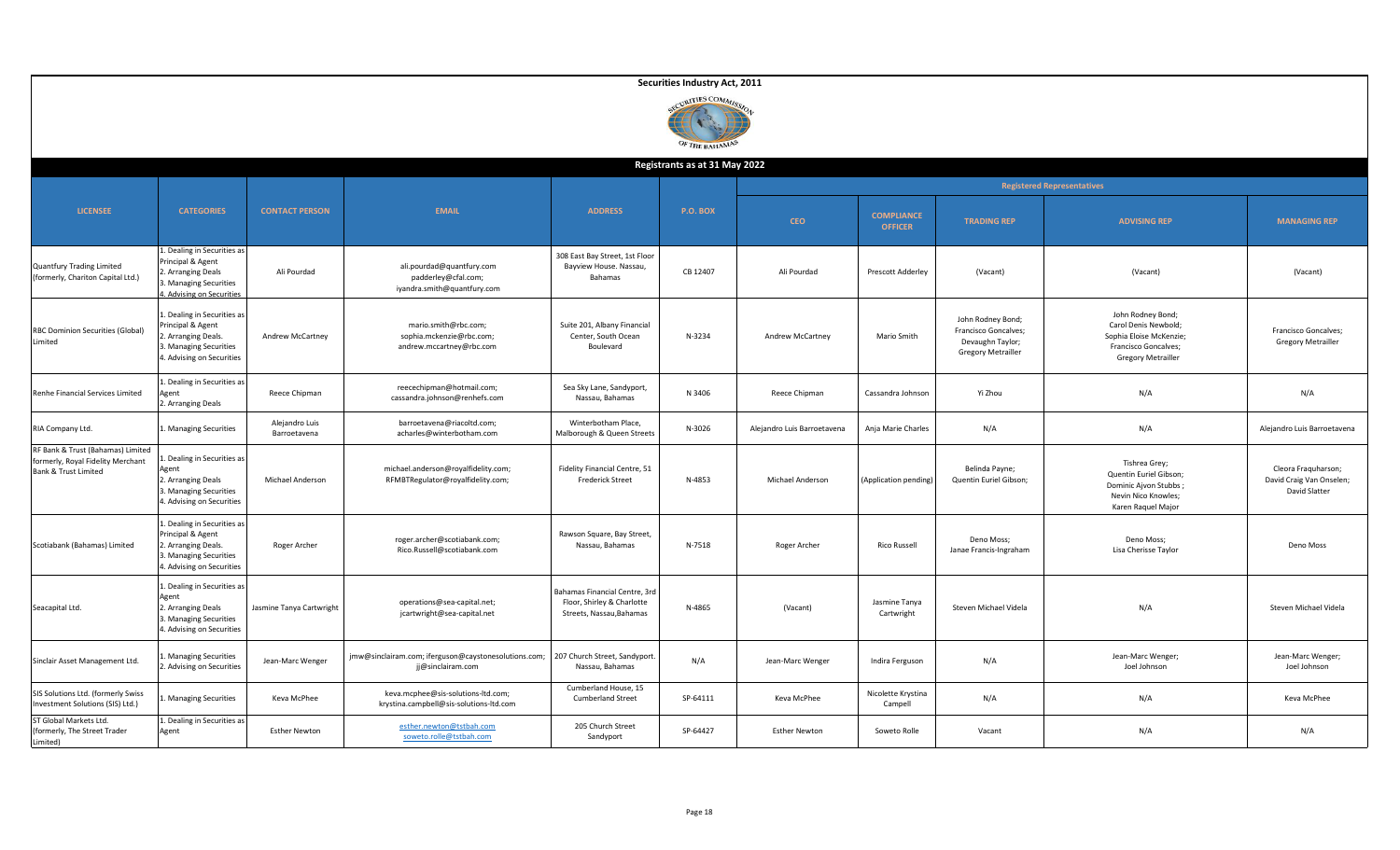|                                                                                                |                                                                                                                                |                                |                                                                                 |                                                                                         | Securities Industry Act, 2011        |                             |                                     |                                                                                            |                                                                                                                           |                                                                  |  |  |
|------------------------------------------------------------------------------------------------|--------------------------------------------------------------------------------------------------------------------------------|--------------------------------|---------------------------------------------------------------------------------|-----------------------------------------------------------------------------------------|--------------------------------------|-----------------------------|-------------------------------------|--------------------------------------------------------------------------------------------|---------------------------------------------------------------------------------------------------------------------------|------------------------------------------------------------------|--|--|
|                                                                                                |                                                                                                                                |                                |                                                                                 |                                                                                         | <b>RITIES COMM</b><br>OF THE BAHAMAS |                             |                                     |                                                                                            |                                                                                                                           |                                                                  |  |  |
|                                                                                                |                                                                                                                                |                                |                                                                                 |                                                                                         | Registrants as at 31 May 2022        |                             |                                     |                                                                                            |                                                                                                                           |                                                                  |  |  |
|                                                                                                |                                                                                                                                |                                |                                                                                 |                                                                                         |                                      |                             |                                     | <b>Registered Representatives</b>                                                          |                                                                                                                           |                                                                  |  |  |
| <b>LICENSEE</b>                                                                                | <b>CATEGORIES</b>                                                                                                              | <b>CONTACT PERSON</b>          | <b>EMAIL</b>                                                                    | <b>ADDRESS</b>                                                                          | P.O. BOX                             | <b>CEO</b>                  | <b>COMPLIANCE</b><br><b>OFFICER</b> | <b>TRADING REP</b>                                                                         | <b>ADVISING REP</b>                                                                                                       | <b>MANAGING REP</b>                                              |  |  |
| <b>Quantfury Trading Limited</b><br>(formerly, Chariton Capital Ltd.)                          | 1. Dealing in Securities as<br>Principal & Agent<br>2. Arranging Deals<br>3. Managing Securities<br>4. Advising on Securities  | Ali Pourdad                    | ali.pourdad@quantfury.com<br>padderley@cfal.com;<br>iyandra.smith@quantfury.com | 308 East Bay Street, 1st Floor<br>Bayview House. Nassau,<br>Bahamas                     | CB 12407                             | Ali Pourdad                 | Prescott Adderley                   | (Vacant)                                                                                   | (Vacant)                                                                                                                  | (Vacant)                                                         |  |  |
| RBC Dominion Securities (Global)<br>Limited                                                    | 1. Dealing in Securities as<br>Principal & Agent<br>2. Arranging Deals.<br>3. Managing Securities<br>4. Advising on Securities | Andrew McCartney               | mario.smith@rbc.com;<br>sophia.mckenzie@rbc.com;<br>andrew.mccartney@rbc.com    | Suite 201, Albany Financial<br>Center, South Ocean<br>Boulevard                         | N-3234                               | Andrew McCartney            | Mario Smith                         | John Rodney Bond;<br>Francisco Goncalves;<br>Devaughn Taylor;<br><b>Gregory Metrailler</b> | John Rodney Bond;<br>Carol Denis Newbold;<br>Sophia Eloise McKenzie;<br>Francisco Goncalves;<br><b>Gregory Metrailler</b> | Francisco Goncalves;<br><b>Gregory Metrailler</b>                |  |  |
| Renhe Financial Services Limited                                                               | 1. Dealing in Securities as<br>Agent<br>2. Arranging Deals                                                                     | Reece Chipman                  | reecechipman@hotmail.com;<br>cassandra.johnson@renhefs.com                      | Sea Sky Lane, Sandyport,<br>Nassau, Bahamas                                             | N 3406                               | Reece Chipman               | Cassandra Johnson                   | Yi Zhou                                                                                    | N/A                                                                                                                       | N/A                                                              |  |  |
| RIA Company Ltd.                                                                               | 1. Managing Securities                                                                                                         | Alejandro Luis<br>Barroetavena | barroetavena@riacoltd.com;<br>acharles@winterbotham.com                         | Winterbotham Place,<br>Malborough & Queen Streets                                       | N-3026                               | Alejandro Luis Barroetavena | Anja Marie Charles                  | N/A                                                                                        | N/A                                                                                                                       | Alejandro Luis Barroetavena                                      |  |  |
| RF Bank & Trust (Bahamas) Limited<br>formerly, Royal Fidelity Merchant<br>Bank & Trust Limited | . Dealing in Securities as<br>Agent<br>2. Arranging Deals<br>3. Managing Securities<br>4. Advising on Securities               | Michael Anderson               | michael.anderson@royalfidelity.com;<br>RFMBTRegulator@royalfidelity.com;        | Fidelity Financial Centre, 51<br><b>Frederick Street</b>                                | N-4853                               | Michael Anderson            | (Application pending)               | Belinda Payne;<br>Quentin Euriel Gibson;                                                   | Tishrea Grey;<br>Quentin Euriel Gibson;<br>Dominic Ajvon Stubbs;<br>Nevin Nico Knowles;<br>Karen Raquel Major             | Cleora Fraquharson;<br>David Craig Van Onselen;<br>David Slatter |  |  |
| Scotiabank (Bahamas) Limited                                                                   | 1. Dealing in Securities as<br>Principal & Agent<br>2. Arranging Deals.<br>3. Managing Securities<br>4. Advising on Securities | Roger Archer                   | roger.archer@scotiabank.com;<br>Rico.Russell@scotiabank.com                     | Rawson Square, Bay Street,<br>Nassau, Bahamas                                           | N-7518                               | Roger Archer                | <b>Rico Russell</b>                 | Deno Moss;<br>Janae Francis-Ingraham                                                       | Deno Moss;<br>Lisa Cherisse Taylor                                                                                        | Deno Moss                                                        |  |  |
| Seacapital Ltd.                                                                                | 1. Dealing in Securities as<br>Agent<br>2. Arranging Deals<br>3. Managing Securities<br>4. Advising on Securities              | Jasmine Tanya Cartwright       | operations@sea-capital.net;<br>jcartwright@sea-capital.net                      | Bahamas Financial Centre, 3rd<br>Floor, Shirley & Charlotte<br>Streets, Nassau, Bahamas | N-4865                               | (Vacant)                    | Jasmine Tanya<br>Cartwright         | Steven Michael Videla                                                                      | N/A                                                                                                                       | Steven Michael Videla                                            |  |  |
| Sinclair Asset Management Ltd.                                                                 | . Managing Securities<br>2. Advising on Securities                                                                             | Jean-Marc Wenger               | jmw@sinclairam.com; iferguson@caystonesolutions.com;<br>jj@sinclairam.com       | 207 Church Street, Sandyport<br>Nassau, Bahamas                                         | N/A                                  | Jean-Marc Wenger            | Indira Ferguson                     | N/A                                                                                        | Jean-Marc Wenger;<br>Joel Johnson                                                                                         | Jean-Marc Wenger;<br>Joel Johnson                                |  |  |
| SIS Solutions Ltd. (formerly Swiss<br>Investment Solutions (SIS) Ltd.)                         | . Managing Securities                                                                                                          | Keva McPhee                    | keva.mcphee@sis-solutions-ltd.com;<br>krystina.campbell@sis-solutions-ltd.com   | Cumberland House, 15<br>Cumberland Street                                               | SP-64111                             | Keva McPhee                 | Nicolette Krystina<br>Campell       | N/A                                                                                        | N/A                                                                                                                       | Keva McPhee                                                      |  |  |
| ST Global Markets Ltd.<br>(formerly, The Street Trader                                         | 1. Dealing in Securities as<br>Agent                                                                                           | <b>Esther Newton</b>           | esther.newton@tstbah.com<br>soweto.rolle@tstbah.com                             | 205 Church Street<br>Sandyport                                                          | SP-64427                             | <b>Esther Newton</b>        | Soweto Rolle                        | Vacant                                                                                     | N/A                                                                                                                       | N/A                                                              |  |  |

Limited)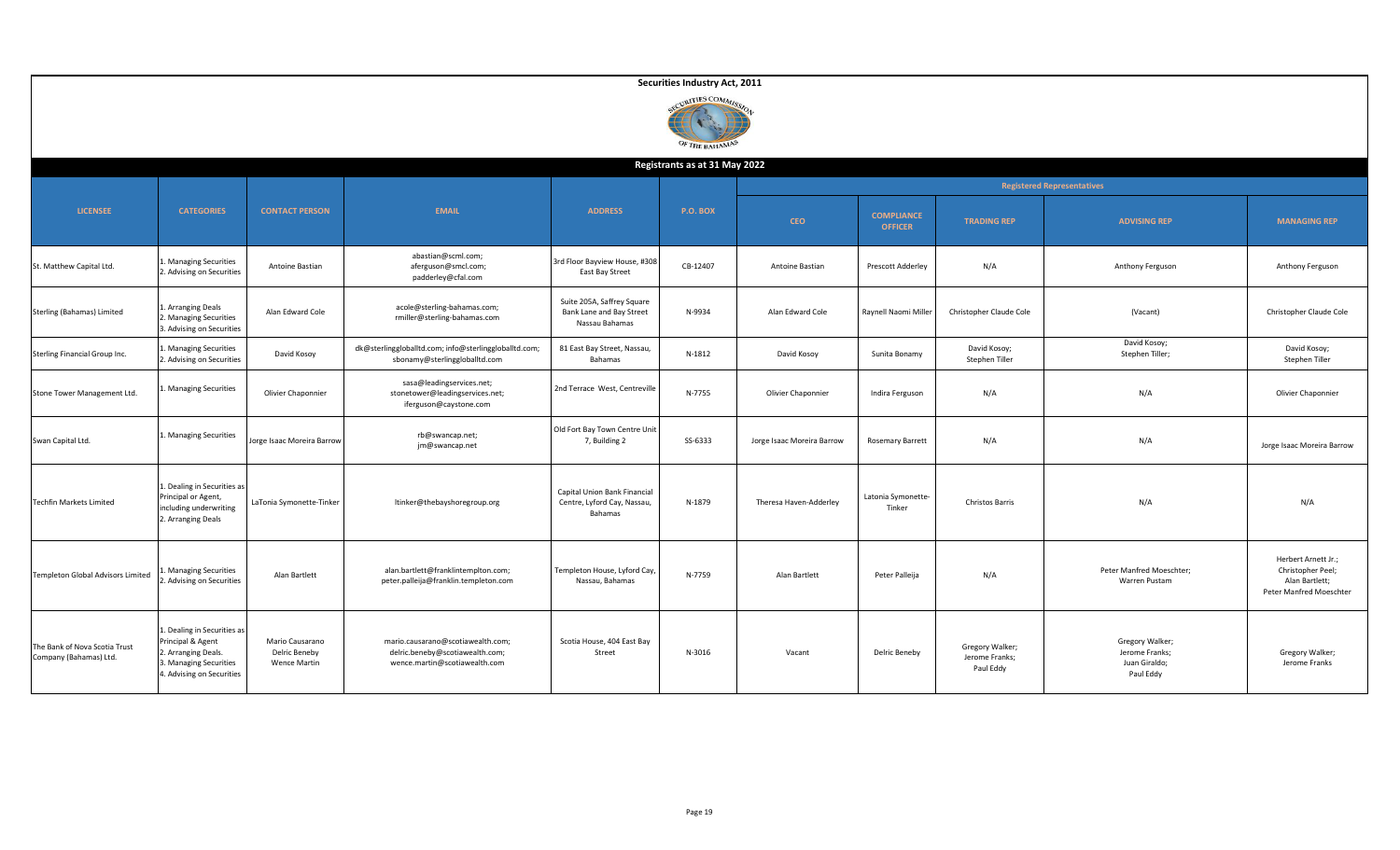|                                                         |                                                                                                                               |                                                         |                                                                                                       |                                                                          | Securities Industry Act, 2011  |                            |                                     |                                                |                                                                 |                                                                                       |  |
|---------------------------------------------------------|-------------------------------------------------------------------------------------------------------------------------------|---------------------------------------------------------|-------------------------------------------------------------------------------------------------------|--------------------------------------------------------------------------|--------------------------------|----------------------------|-------------------------------------|------------------------------------------------|-----------------------------------------------------------------|---------------------------------------------------------------------------------------|--|
|                                                         |                                                                                                                               |                                                         |                                                                                                       |                                                                          | RITIES COMMI<br>OF THE BAHAMAS |                            |                                     |                                                |                                                                 |                                                                                       |  |
|                                                         | Registrants as at 31 May 2022                                                                                                 |                                                         |                                                                                                       |                                                                          |                                |                            |                                     |                                                |                                                                 |                                                                                       |  |
| <b>LICENSEE</b>                                         | <b>CATEGORIES</b>                                                                                                             | <b>CONTACT PERSON</b>                                   | <b>EMAIL</b>                                                                                          | <b>ADDRESS</b>                                                           | <b>P.O. BOX</b>                | <b>CEO</b>                 | <b>COMPLIANCE</b><br><b>OFFICER</b> | <b>TRADING REP</b>                             | <b>Registered Representatives</b><br><b>ADVISING REP</b>        | <b>MANAGING REP</b>                                                                   |  |
| St. Matthew Capital Ltd.                                | . Managing Securities<br>2. Advising on Securities                                                                            | Antoine Bastian                                         | abastian@scml.com;<br>aferguson@smcl.com;<br>padderley@cfal.com                                       | 3rd Floor Bayview House, #308<br>East Bay Street                         | CB-12407                       | Antoine Bastian            | Prescott Adderley                   | N/A                                            | Anthony Ferguson                                                | Anthony Ferguson                                                                      |  |
| Sterling (Bahamas) Limited                              | 1. Arranging Deals<br>2. Managing Securities<br>3. Advising on Securities                                                     | Alan Edward Cole                                        | acole@sterling-bahamas.com;<br>rmiller@sterling-bahamas.com                                           | Suite 205A, Saffrey Square<br>Bank Lane and Bay Street<br>Nassau Bahamas | N-9934                         | Alan Edward Cole           | Raynell Naomi Miller                | Christopher Claude Cole                        | (Vacant)                                                        | Christopher Claude Cole                                                               |  |
| Sterling Financial Group Inc.                           | <b>Managing Securities</b><br>. Advising on Securities                                                                        | David Kosoy                                             | dk@sterlinggloballtd.com; info@sterlinggloballtd.com;<br>sbonamy@sterlinggloballtd.com                | 81 East Bay Street, Nassau,<br>Bahamas                                   | N-1812                         | David Kosoy                | Sunita Bonamy                       | David Kosoy;<br>Stephen Tiller                 | David Kosoy;<br>Stephen Tiller;                                 | David Kosoy;<br>Stephen Tiller                                                        |  |
| Stone Tower Management Ltd.                             | . Managing Securities                                                                                                         | Olivier Chaponnier                                      | sasa@leadingservices.net;<br>stonetower@leadingservices.net;<br>iferguson@caystone.com                | 2nd Terrace West, Centreville                                            | N-7755                         | Olivier Chaponnier         | Indira Ferguson                     | N/A                                            | N/A                                                             | Olivier Chaponnier                                                                    |  |
| Swan Capital Ltd.                                       | L. Managing Securities                                                                                                        | Jorge Isaac Moreira Barrow                              | rb@swancap.net;<br>jm@swancap.net                                                                     | Old Fort Bay Town Centre Unit<br>7, Building 2                           | SS-6333                        | Jorge Isaac Moreira Barrow | <b>Rosemary Barrett</b>             | N/A                                            | N/A                                                             | Jorge Isaac Moreira Barrow                                                            |  |
| Techfin Markets Limited                                 | 1. Dealing in Securities as<br>Principal or Agent,<br>including underwriting<br>2. Arranging Deals                            | LaTonia Symonette-Tinker                                | ltinker@thebayshoregroup.org                                                                          | Capital Union Bank Financial<br>Centre, Lyford Cay, Nassau,<br>Bahamas   | N-1879                         | Theresa Haven-Adderley     | Latonia Symonette-<br>Tinker        | Christos Barris                                | N/A                                                             | N/A                                                                                   |  |
| Templeton Global Advisors Limited                       | <b>Managing Securities</b><br>Advising on Securities                                                                          | Alan Bartlett                                           | alan.bartlett@franklintemplton.com;<br>peter.palleija@franklin.templeton.com                          | Templeton House, Lyford Cay,<br>Nassau, Bahamas                          | N-7759                         | Alan Bartlett              | Peter Palleija                      | N/A                                            | Peter Manfred Moeschter;<br>Warren Pustam                       | Herbert Arnett Jr.;<br>Christopher Peel;<br>Alan Bartlett;<br>Peter Manfred Moeschter |  |
| The Bank of Nova Scotia Trust<br>Company (Bahamas) Ltd. | 1. Dealing in Securities as<br>Principal & Agent<br>2. Arranging Deals.<br>. Managing Securities<br>4. Advising on Securities | Mario Causarano<br>Delric Beneby<br><b>Wence Martin</b> | mario.causarano@scotiawealth.com;<br>delric.beneby@scotiawealth.com;<br>wence.martin@scotiawealth.com | Scotia House, 404 East Bay<br>Street                                     | N-3016                         | Vacant                     | Delric Beneby                       | Gregory Walker;<br>Jerome Franks;<br>Paul Eddy | Gregory Walker;<br>Jerome Franks;<br>Juan Giraldo;<br>Paul Eddy | Gregory Walker;<br>Jerome Franks                                                      |  |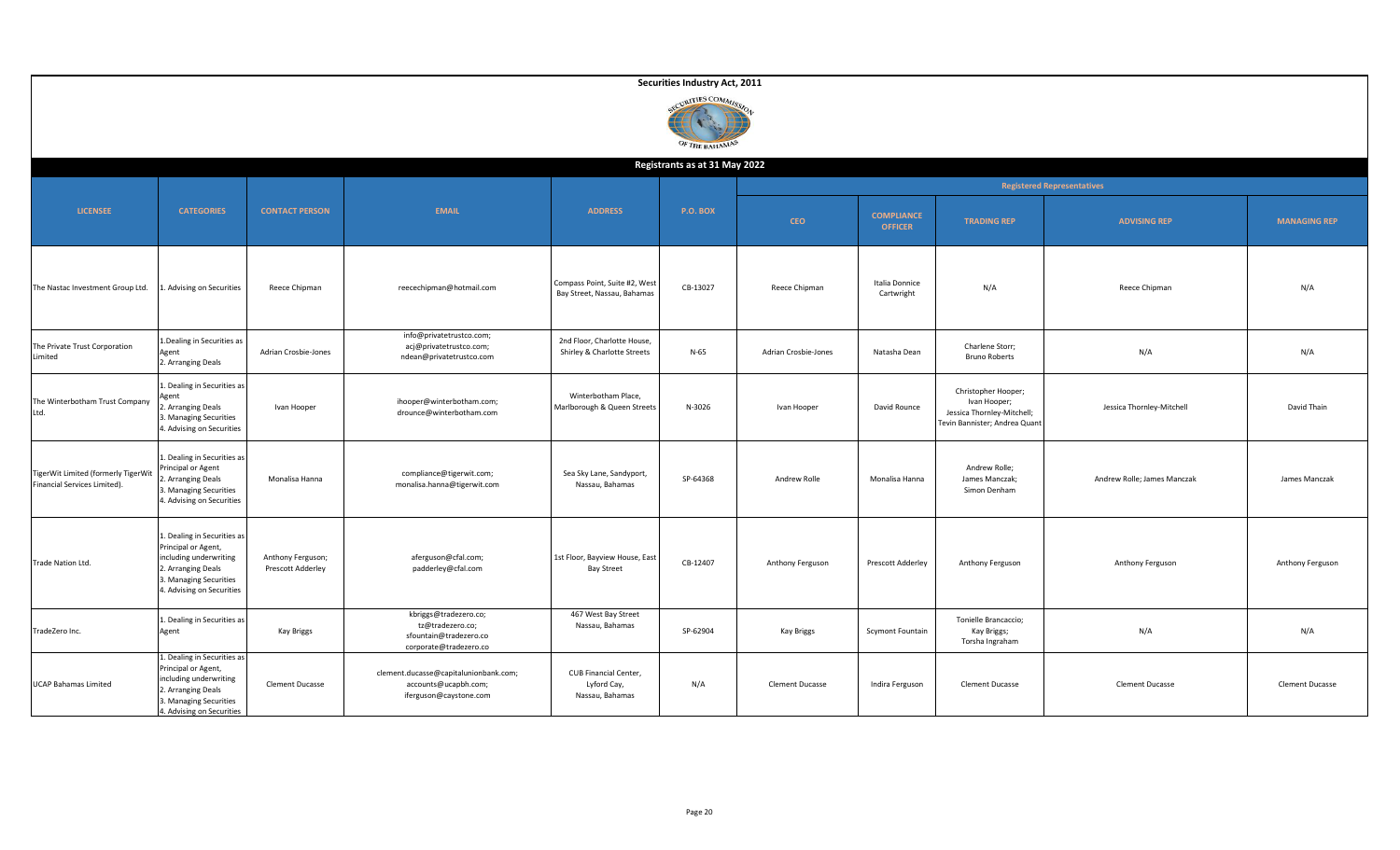|                                                                     |                                                                                                                                                           |                                        |                                                                                               |                                                              | Securities Industry Act, 2011<br>CURITIES COMMIS<br>OF THE BAHAMAS |                        |                                     |                                                                                                    |                             |                        |  |
|---------------------------------------------------------------------|-----------------------------------------------------------------------------------------------------------------------------------------------------------|----------------------------------------|-----------------------------------------------------------------------------------------------|--------------------------------------------------------------|--------------------------------------------------------------------|------------------------|-------------------------------------|----------------------------------------------------------------------------------------------------|-----------------------------|------------------------|--|
|                                                                     |                                                                                                                                                           |                                        |                                                                                               |                                                              | Registrants as at 31 May 2022                                      |                        |                                     |                                                                                                    |                             |                        |  |
|                                                                     |                                                                                                                                                           |                                        |                                                                                               |                                                              |                                                                    |                        | <b>Registered Representatives</b>   |                                                                                                    |                             |                        |  |
| <b>LICENSEE</b>                                                     | <b>CATEGORIES</b>                                                                                                                                         | <b>CONTACT PERSON</b>                  | <b>EMAIL</b>                                                                                  | <b>ADDRESS</b>                                               | <b>P.O. BOX</b>                                                    | <b>CEO</b>             | <b>COMPLIANCE</b><br><b>OFFICER</b> | <b>TRADING REP</b>                                                                                 | <b>ADVISING REP</b>         | <b>MANAGING REP</b>    |  |
| The Nastac Investment Group Ltd.                                    | 1. Advising on Securities                                                                                                                                 | Reece Chipman                          | reecechipman@hotmail.com                                                                      | Compass Point, Suite #2, West<br>Bay Street, Nassau, Bahamas | CB-13027                                                           | Reece Chipman          | Italia Donnice<br>Cartwright        | N/A                                                                                                | Reece Chipman               | N/A                    |  |
| The Private Trust Corporation<br>Limited                            | 1. Dealing in Securities as<br>Agent<br>2. Arranging Deals                                                                                                | Adrian Crosbie-Jones                   | info@privatetrustco.com;<br>acj@privatetrustco.com;<br>ndean@privatetrustco.com               | 2nd Floor, Charlotte House,<br>Shirley & Charlotte Streets   | $N-65$                                                             | Adrian Crosbie-Jones   | Natasha Dean                        | Charlene Storr;<br><b>Bruno Roberts</b>                                                            | N/A                         | N/A                    |  |
| The Winterbotham Trust Company<br>Ltd.                              | L. Dealing in Securities as<br>2. Arranging Deals<br>3. Managing Securities<br>4. Advising on Securities                                                  | Ivan Hooper                            | ihooper@winterbotham.com;<br>drounce@winterbotham.com                                         | Winterbotham Place,<br>Marlborough & Queen Streets           | N-3026                                                             | Ivan Hooper            | David Rounce                        | Christopher Hooper;<br>Ivan Hooper;<br>Jessica Thornley-Mitchell;<br>Tevin Bannister; Andrea Quant | Jessica Thornley-Mitchell   | David Thain            |  |
| TigerWit Limited (formerly TigerWit<br>Financial Services Limited). | 1. Dealing in Securities as<br>Principal or Agent<br>Arranging Deals<br>3. Managing Securities<br>4. Advising on Securities                               | Monalisa Hanna                         | compliance@tigerwit.com;<br>monalisa.hanna@tigerwit.com                                       | Sea Sky Lane, Sandyport,<br>Nassau, Bahamas                  | SP-64368                                                           | Andrew Rolle           | Monalisa Hanna                      | Andrew Rolle;<br>James Manczak;<br>Simon Denham                                                    | Andrew Rolle; James Manczak | James Manczak          |  |
| Trade Nation Ltd.                                                   | 1. Dealing in Securities as<br>Principal or Agent,<br>including underwriting<br>2. Arranging Deals<br>3. Managing Securities<br>4. Advising on Securities | Anthony Ferguson;<br>Prescott Adderley | aferguson@cfal.com;<br>padderley@cfal.com                                                     | 1st Floor, Bayview House, East<br><b>Bay Street</b>          | CB-12407                                                           | Anthony Ferguson       | Prescott Adderley                   | Anthony Ferguson                                                                                   | Anthony Ferguson            | Anthony Ferguson       |  |
| TradeZero Inc.                                                      | 1. Dealing in Securities as<br>Agent                                                                                                                      | <b>Kay Briggs</b>                      | kbriggs@tradezero.co;<br>tz@tradezero.co;<br>sfountain@tradezero.co<br>corporate@tradezero.co | 467 West Bay Street<br>Nassau, Bahamas                       | SP-62904                                                           | Kay Briggs             | Scymont Fountain                    | Tonielle Brancaccio;<br>Kay Briggs;<br>Torsha Ingraham                                             | N/A                         | N/A                    |  |
| <b>UCAP Bahamas Limited</b>                                         | 1. Dealing in Securities as<br>Principal or Agent,<br>including underwriting<br>2. Arranging Deals<br>3. Managing Securities<br>4. Advising on Securities | Clement Ducasse                        | clement.ducasse@capitalunionbank.com;<br>accounts@ucapbh.com;<br>iferguson@caystone.com       | CUB Financial Center,<br>Lyford Cay,<br>Nassau, Bahamas      | N/A                                                                | <b>Clement Ducasse</b> | Indira Ferguson                     | <b>Clement Ducasse</b>                                                                             | <b>Clement Ducasse</b>      | <b>Clement Ducasse</b> |  |